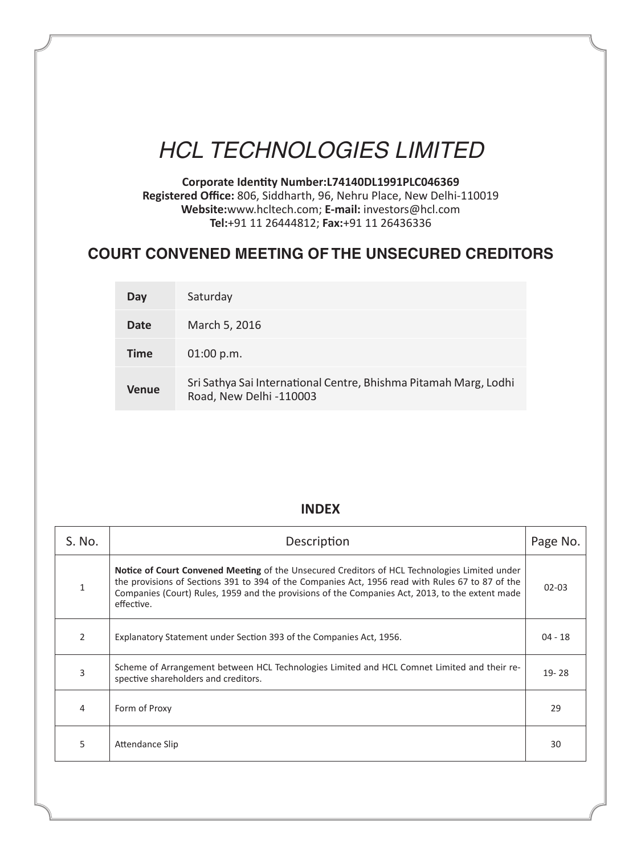# *HCL TECHNOLOGIES LIMITED*

**Corporate Identity Number:L74140DL1991PLC046369 Registered Office:** 806, Siddharth, 96, Nehru Place, New Delhi-110019 **Website:**www.hcltech.com; **E-mail:** investors@hcl.com **Tel:**+91 11 26444812; **Fax:**+91 11 26436336

## **COURT CONVENED MEETING OF THE UNSECURED CREDITORS**

| Day          | Saturday                                                                                    |
|--------------|---------------------------------------------------------------------------------------------|
| Date         | March 5, 2016                                                                               |
| <b>Time</b>  | $01:00$ p.m.                                                                                |
| <b>Venue</b> | Sri Sathya Sai International Centre, Bhishma Pitamah Marg, Lodhi<br>Road, New Delhi -110003 |

### **INDEX**

| S. No.         | Description                                                                                                                                                                                                                                                                                                               |           |  |
|----------------|---------------------------------------------------------------------------------------------------------------------------------------------------------------------------------------------------------------------------------------------------------------------------------------------------------------------------|-----------|--|
| 1              | <b>Notice of Court Convened Meeting</b> of the Unsecured Creditors of HCL Technologies Limited under<br>the provisions of Sections 391 to 394 of the Companies Act, 1956 read with Rules 67 to 87 of the<br>Companies (Court) Rules, 1959 and the provisions of the Companies Act, 2013, to the extent made<br>effective. | $02 - 03$ |  |
| $\overline{2}$ | Explanatory Statement under Section 393 of the Companies Act, 1956.                                                                                                                                                                                                                                                       | $04 - 18$ |  |
| 3              | Scheme of Arrangement between HCL Technologies Limited and HCL Comnet Limited and their re-<br>spective shareholders and creditors.                                                                                                                                                                                       | $19 - 28$ |  |
| 4              | Form of Proxy                                                                                                                                                                                                                                                                                                             | 29        |  |
| 5              | Attendance Slip                                                                                                                                                                                                                                                                                                           | 30        |  |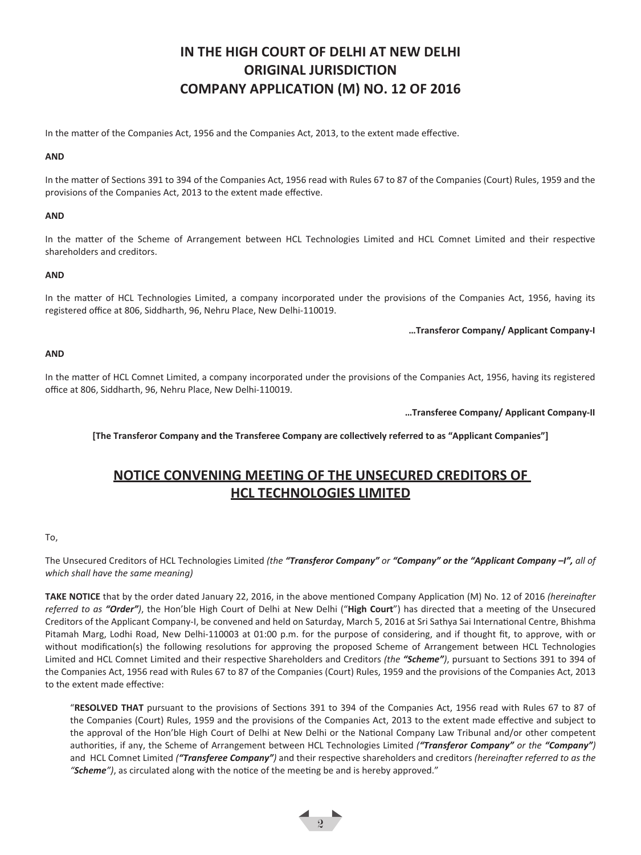## **IN THE HIGH COURT OF DELHI AT NEW DELHI ORIGINAL JURISDICTION COMPANY APPLICATION (M) NO. 12 OF 2016**

In the matter of the Companies Act, 1956 and the Companies Act, 2013, to the extent made effective.

#### **AND**

In the matter of Sections 391 to 394 of the Companies Act, 1956 read with Rules 67 to 87 of the Companies (Court) Rules, 1959 and the provisions of the Companies Act, 2013 to the extent made effective.

#### **AND**

In the matter of the Scheme of Arrangement between HCL Technologies Limited and HCL Comnet Limited and their respective shareholders and creditors.

#### **AND**

In the matter of HCL Technologies Limited, a company incorporated under the provisions of the Companies Act, 1956, having its registered office at 806, Siddharth, 96, Nehru Place, New Delhi-110019.

#### **…Transferor Company/ Applicant Company-I**

#### **AND**

In the matter of HCL Comnet Limited, a company incorporated under the provisions of the Companies Act, 1956, having its registered office at 806, Siddharth, 96, Nehru Place, New Delhi-110019.

**…Transferee Company/ Applicant Company-II**

**[The Transferor Company and the Transferee Company are collectively referred to as "Applicant Companies"]**

## **NOTICE CONVENING MEETING OF THE UNSECURED CREDITORS OF HCL TECHNOLOGIES LIMITED**

#### To,

The Unsecured Creditors of HCL Technologies Limited *(the "Transferor Company" or "Company" or the "Applicant Company –I", all of which shall have the same meaning)*

**TAKE NOTICE** that by the order dated January 22, 2016, in the above mentioned Company Application (M) No. 12 of 2016 *(hereinafter*  referred to as "Order"), the Hon'ble High Court of Delhi at New Delhi ("High Court") has directed that a meeting of the Unsecured Creditors of the Applicant Company-I, be convened and held on Saturday, March 5, 2016 at Sri Sathya Sai International Centre, Bhishma Pitamah Marg, Lodhi Road, New Delhi-110003 at 01:00 p.m. for the purpose of considering, and if thought fit, to approve, with or without modification(s) the following resolutions for approving the proposed Scheme of Arrangement between HCL Technologies Limited and HCL Comnet Limited and their respective Shareholders and Creditors *(the "Scheme")*, pursuant to Sections 391 to 394 of the Companies Act, 1956 read with Rules 67 to 87 of the Companies (Court) Rules, 1959 and the provisions of the Companies Act, 2013 to the extent made effective:

"**RESOLVED THAT** pursuant to the provisions of Sections 391 to 394 of the Companies Act, 1956 read with Rules 67 to 87 of the Companies (Court) Rules, 1959 and the provisions of the Companies Act, 2013 to the extent made effective and subject to the approval of the Hon'ble High Court of Delhi at New Delhi or the National Company Law Tribunal and/or other competent authorities, if any, the Scheme of Arrangement between HCL Technologies Limited *("Transferor Company" or the "Company")* and HCL Comnet Limited *("Transferee Company")* and their respective shareholders and creditors *(hereinafter referred to as the "Scheme")*, as circulated along with the notice of the meeting be and is hereby approved."

 $\frac{1}{2}$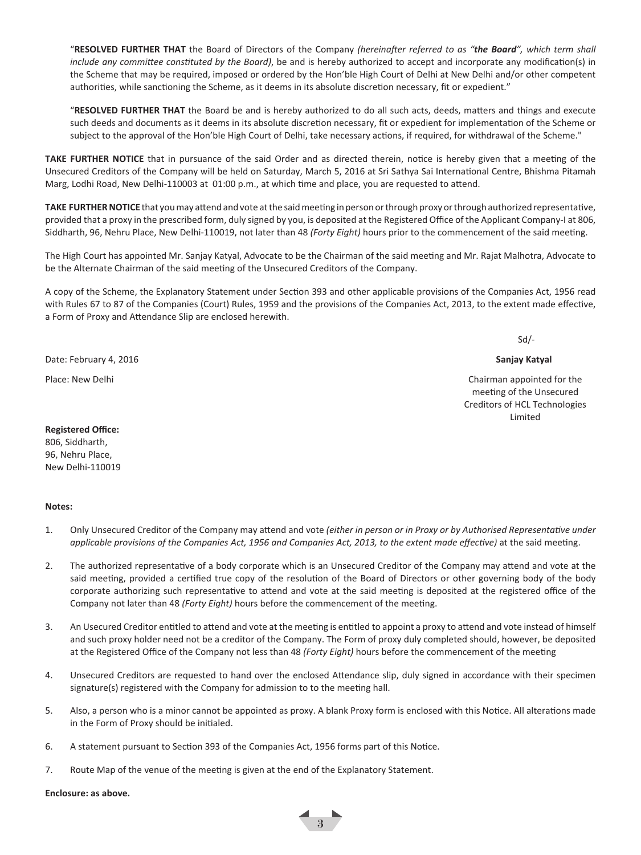"**RESOLVED FURTHER THAT** the Board of Directors of the Company *(hereinafter referred to as "the Board", which term shall include any committee constituted by the Board)*, be and is hereby authorized to accept and incorporate any modification(s) in the Scheme that may be required, imposed or ordered by the Hon'ble High Court of Delhi at New Delhi and/or other competent authorities, while sanctioning the Scheme, as it deems in its absolute discretion necessary, fit or expedient."

"**RESOLVED FURTHER THAT** the Board be and is hereby authorized to do all such acts, deeds, matters and things and execute such deeds and documents as it deems in its absolute discretion necessary, fit or expedient for implementation of the Scheme or subject to the approval of the Hon'ble High Court of Delhi, take necessary actions, if required, for withdrawal of the Scheme."

**TAKE FURTHER NOTICE** that in pursuance of the said Order and as directed therein, notice is hereby given that a meeting of the Unsecured Creditors of the Company will be held on Saturday, March 5, 2016 at Sri Sathya Sai International Centre, Bhishma Pitamah Marg, Lodhi Road, New Delhi-110003 at 01:00 p.m., at which time and place, you are requested to attend.

**TAKE FURTHER NOTICE** that you may attend and vote at the said meeting in person or through proxy or through authorized representative, provided that a proxy in the prescribed form, duly signed by you, is deposited at the Registered Office of the Applicant Company-I at 806, Siddharth, 96, Nehru Place, New Delhi-110019, not later than 48 *(Forty Eight)* hours prior to the commencement of the said meeting.

The High Court has appointed Mr. Sanjay Katyal, Advocate to be the Chairman of the said meeting and Mr. Rajat Malhotra, Advocate to be the Alternate Chairman of the said meeting of the Unsecured Creditors of the Company.

A copy of the Scheme, the Explanatory Statement under Section 393 and other applicable provisions of the Companies Act, 1956 read with Rules 67 to 87 of the Companies (Court) Rules, 1959 and the provisions of the Companies Act, 2013, to the extent made effective, a Form of Proxy and Attendance Slip are enclosed herewith.

Sd/-

#### Date: February 4, 2016 **Sanjay Katyal**

Place: New Delhi Chairman appointed for the Chairman appointed for the Chairman appointed for the Chairman appointed for the Chairman appointed for the Chairman appointed for the Chairman appointed for the Chairman appoint meeting of the Unsecured Creditors of HCL Technologies Limited

## **Registered Office:**

806, Siddharth, 96, Nehru Place, New Delhi-110019

#### **Notes:**

- 1. Only Unsecured Creditor of the Company may attend and vote *(either in person or in Proxy or by Authorised Representative under applicable provisions of the Companies Act, 1956 and Companies Act, 2013, to the extent made effective)* at the said meeting.
- 2. The authorized representative of a body corporate which is an Unsecured Creditor of the Company may attend and vote at the said meeting, provided a certified true copy of the resolution of the Board of Directors or other governing body of the body corporate authorizing such representative to attend and vote at the said meeting is deposited at the registered office of the Company not later than 48 *(Forty Eight)* hours before the commencement of the meeting.
- 3. An Usecured Creditor entitled to attend and vote at the meeting is entitled to appoint a proxy to attend and vote instead of himself and such proxy holder need not be a creditor of the Company. The Form of proxy duly completed should, however, be deposited at the Registered Office of the Company not less than 48 *(Forty Eight)* hours before the commencement of the meeting
- 4. Unsecured Creditors are requested to hand over the enclosed Attendance slip, duly signed in accordance with their specimen signature(s) registered with the Company for admission to to the meeting hall.
- 5. Also, a person who is a minor cannot be appointed as proxy. A blank Proxy form is enclosed with this Notice. All alterations made in the Form of Proxy should be initialed.
- 6. A statement pursuant to Section 393 of the Companies Act, 1956 forms part of this Notice.
- 7. Route Map of the venue of the meeting is given at the end of the Explanatory Statement.

**Enclosure: as above.**

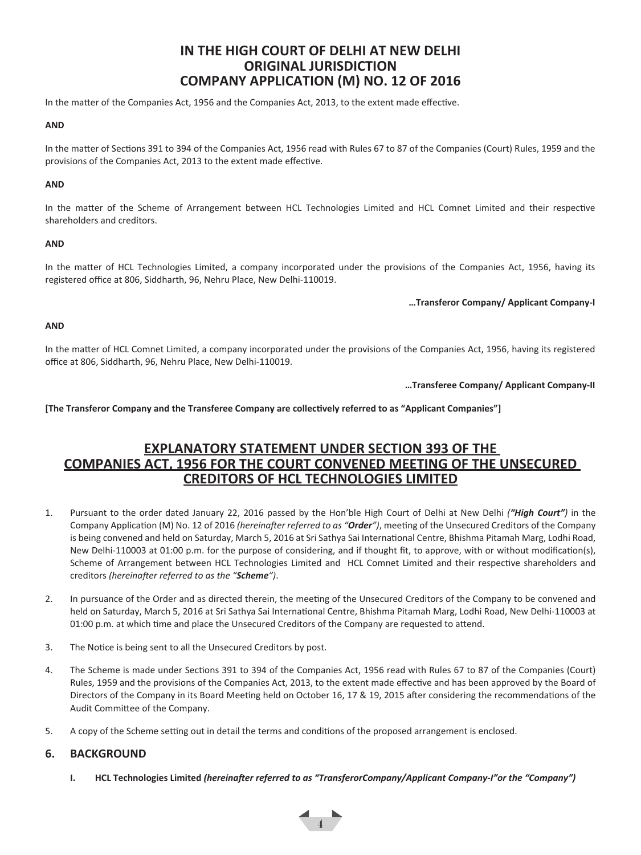## **IN THE HIGH COURT OF DELHI AT NEW DELHI ORIGINAL JURISDICTION COMPANY APPLICATION (M) NO. 12 OF 2016**

In the matter of the Companies Act, 1956 and the Companies Act, 2013, to the extent made effective.

#### **AND**

In the matter of Sections 391 to 394 of the Companies Act, 1956 read with Rules 67 to 87 of the Companies (Court) Rules, 1959 and the provisions of the Companies Act, 2013 to the extent made effective.

#### **AND**

In the matter of the Scheme of Arrangement between HCL Technologies Limited and HCL Comnet Limited and their respective shareholders and creditors.

#### **AND**

In the matter of HCL Technologies Limited, a company incorporated under the provisions of the Companies Act, 1956, having its registered office at 806, Siddharth, 96, Nehru Place, New Delhi-110019.

**…Transferor Company/ Applicant Company-I**

#### **AND**

In the matter of HCL Comnet Limited, a company incorporated under the provisions of the Companies Act, 1956, having its registered office at 806, Siddharth, 96, Nehru Place, New Delhi-110019.

**…Transferee Company/ Applicant Company-II**

**[The Transferor Company and the Transferee Company are collectively referred to as "Applicant Companies"]**

## **EXPLANATORY STATEMENT UNDER SECTION 393 OF THE COMPANIES ACT, 1956 FOR THE COURT CONVENED MEETING OF THE UNSECURED CREDITORS OF HCL TECHNOLOGIES LIMITED**

- 1. Pursuant to the order dated January 22, 2016 passed by the Hon'ble High Court of Delhi at New Delhi *("High Court")* in the Company Application (M) No. 12 of 2016 *(hereinafter referred to as "Order")*, meeting of the Unsecured Creditors of the Company is being convened and held on Saturday, March 5, 2016 at Sri Sathya Sai International Centre, Bhishma Pitamah Marg, Lodhi Road, New Delhi-110003 at 01:00 p.m. for the purpose of considering, and if thought fit, to approve, with or without modification(s), Scheme of Arrangement between HCL Technologies Limited and HCL Comnet Limited and their respective shareholders and creditors *(hereinafter referred to as the "Scheme")*.
- 2. In pursuance of the Order and as directed therein, the meeting of the Unsecured Creditors of the Company to be convened and held on Saturday, March 5, 2016 at Sri Sathya Sai International Centre, Bhishma Pitamah Marg, Lodhi Road, New Delhi-110003 at 01:00 p.m. at which time and place the Unsecured Creditors of the Company are requested to attend.
- 3. The Notice is being sent to all the Unsecured Creditors by post.
- 4. The Scheme is made under Sections 391 to 394 of the Companies Act, 1956 read with Rules 67 to 87 of the Companies (Court) Rules, 1959 and the provisions of the Companies Act, 2013, to the extent made effective and has been approved by the Board of Directors of the Company in its Board Meeting held on October 16, 17 & 19, 2015 after considering the recommendations of the Audit Committee of the Company.
- 5. A copy of the Scheme setting out in detail the terms and conditions of the proposed arrangement is enclosed.

#### **6. BACKGROUND**

**I. HCL Technologies Limited** *(hereinafter referred to as "TransferorCompany/Applicant Company-I"or the "Company")* 

4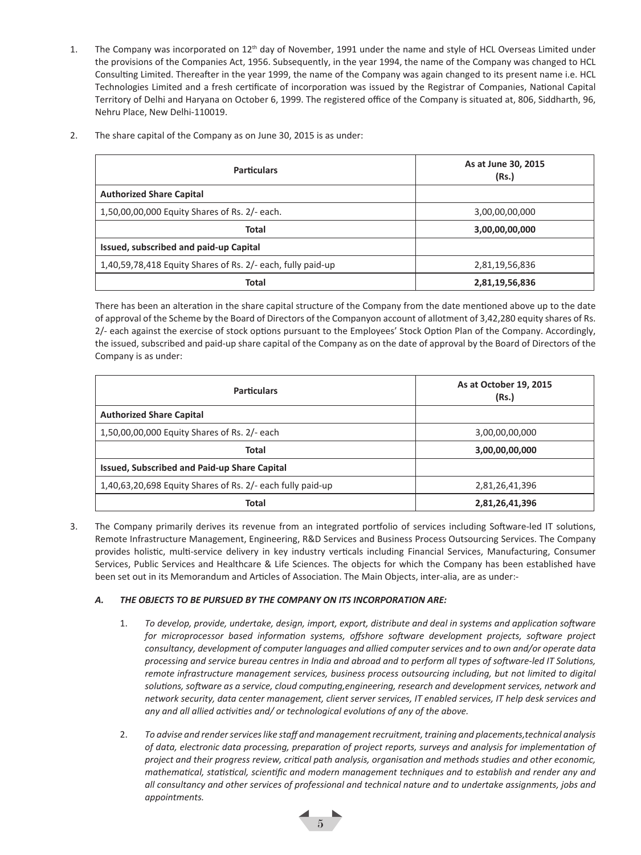- 1. The Company was incorporated on 12<sup>th</sup> day of November, 1991 under the name and style of HCL Overseas Limited under the provisions of the Companies Act, 1956. Subsequently, in the year 1994, the name of the Company was changed to HCL Consulting Limited. Thereafter in the year 1999, the name of the Company was again changed to its present name i.e. HCL Technologies Limited and a fresh certificate of incorporation was issued by the Registrar of Companies, National Capital Territory of Delhi and Haryana on October 6, 1999. The registered office of the Company is situated at, 806, Siddharth, 96, Nehru Place, New Delhi-110019.
- 2. The share capital of the Company as on June 30, 2015 is as under:

| <b>Particulars</b>                                          | As at June 30, 2015<br>(Rs.) |
|-------------------------------------------------------------|------------------------------|
| <b>Authorized Share Capital</b>                             |                              |
| 1,50,00,00,000 Equity Shares of Rs. 2/- each.               | 3,00,00,00,000               |
| Total                                                       | 3,00,00,00,000               |
| Issued, subscribed and paid-up Capital                      |                              |
| 1,40,59,78,418 Equity Shares of Rs. 2/- each, fully paid-up | 2,81,19,56,836               |
| Total                                                       | 2,81,19,56,836               |

There has been an alteration in the share capital structure of the Company from the date mentioned above up to the date of approval of the Scheme by the Board of Directors of the Companyon account of allotment of 3,42,280 equity shares of Rs. 2/- each against the exercise of stock options pursuant to the Employees' Stock Option Plan of the Company. Accordingly, the issued, subscribed and paid-up share capital of the Company as on the date of approval by the Board of Directors of the Company is as under:

| <b>Particulars</b>                                         | As at October 19, 2015<br>(Rs.) |
|------------------------------------------------------------|---------------------------------|
| <b>Authorized Share Capital</b>                            |                                 |
| 1,50,00,00,000 Equity Shares of Rs. 2/- each               | 3,00,00,00,000                  |
| Total                                                      | 3,00,00,00,000                  |
| Issued, Subscribed and Paid-up Share Capital               |                                 |
| 1,40,63,20,698 Equity Shares of Rs. 2/- each fully paid-up | 2,81,26,41,396                  |
| Total                                                      | 2,81,26,41,396                  |

3. The Company primarily derives its revenue from an integrated portfolio of services including Software-led IT solutions, Remote Infrastructure Management, Engineering, R&D Services and Business Process Outsourcing Services. The Company provides holistic, multi-service delivery in key industry verticals including Financial Services, Manufacturing, Consumer Services, Public Services and Healthcare & Life Sciences. The objects for which the Company has been established have been set out in its Memorandum and Articles of Association. The Main Objects, inter-alia, are as under:-

#### *A. THE OBJECTS TO BE PURSUED BY THE COMPANY ON ITS INCORPORATION ARE:*

- 1. *To develop, provide, undertake, design, import, export, distribute and deal in systems and application software for microprocessor based information systems, offshore software development projects, software project consultancy, development of computer languages and allied computer services and to own and/or operate data processing and service bureau centres in India and abroad and to perform all types of software-led IT Solutions, remote infrastructure management services, business process outsourcing including, but not limited to digital solutions, software as a service, cloud computing,engineering, research and development services, network and network security, data center management, client server services, IT enabled services, IT help desk services and any and all allied activities and/ or technological evolutions of any of the above.*
- 2. *To advise and render services like staff and management recruitment, training and placements,technical analysis of data, electronic data processing, preparation of project reports, surveys and analysis for implementation of project and their progress review, critical path analysis, organisation and methods studies and other economic, mathematical, statistical, scientific and modern management techniques and to establish and render any and all consultancy and other services of professional and technical nature and to undertake assignments, jobs and appointments.*

 $\overline{5}$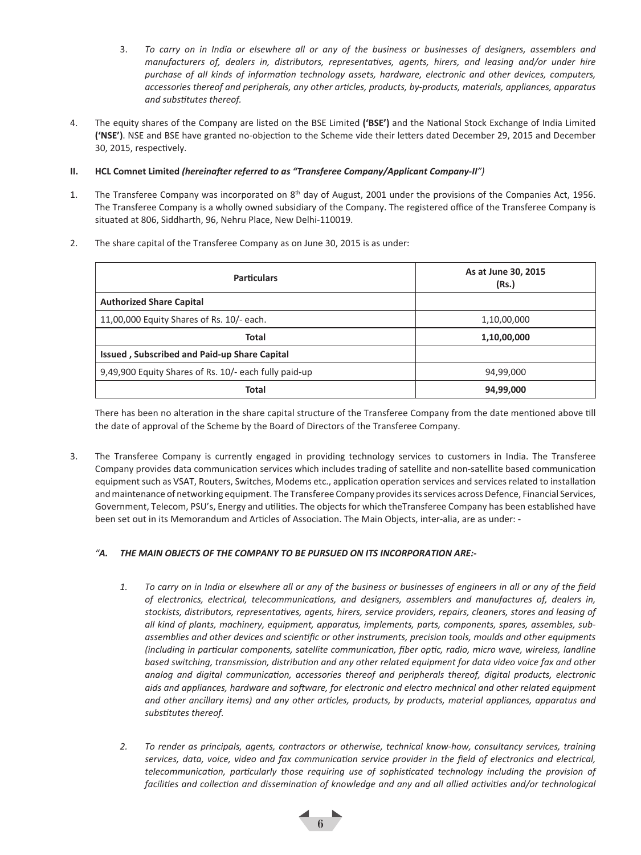- 3. *To carry on in India or elsewhere all or any of the business or businesses of designers, assemblers and manufacturers of, dealers in, distributors, representatives, agents, hirers, and leasing and/or under hire purchase of all kinds of information technology assets, hardware, electronic and other devices, computers, accessories thereof and peripherals, any other articles, products, by-products, materials, appliances, apparatus and substitutes thereof.*
- 4. The equity shares of the Company are listed on the BSE Limited **('BSE')** and the National Stock Exchange of India Limited **('NSE')**. NSE and BSE have granted no-objection to the Scheme vide their letters dated December 29, 2015 and December 30, 2015, respectively.

#### **II. HCL Comnet Limited** *(hereinafter referred to as "Transferee Company/Applicant Company-II")*

- 1. The Transferee Company was incorporated on 8<sup>th</sup> day of August, 2001 under the provisions of the Companies Act, 1956. The Transferee Company is a wholly owned subsidiary of the Company. The registered office of the Transferee Company is situated at 806, Siddharth, 96, Nehru Place, New Delhi-110019.
	- **Particulars As at June 30, 2015 (Rs.) Authorized Share Capital** 11,00,000 Equity Shares of Rs. 10/- each. 1,10,00,000 **Total 1,10,00,000 Issued , Subscribed and Paid-up Share Capital** 9,49,900 Equity Shares of Rs. 10/- each fully paid-up 100 100 100 100 100 100 100 94,99,000 **Total 94,99,000**
- 2. The share capital of the Transferee Company as on June 30, 2015 is as under:

There has been no alteration in the share capital structure of the Transferee Company from the date mentioned above till the date of approval of the Scheme by the Board of Directors of the Transferee Company.

3. The Transferee Company is currently engaged in providing technology services to customers in India. The Transferee Company provides data communication services which includes trading of satellite and non-satellite based communication equipment such as VSAT, Routers, Switches, Modems etc., application operation services and services related to installation and maintenance of networking equipment. The Transferee Company provides its services across Defence, Financial Services, Government, Telecom, PSU's, Energy and utilities. The objects for which theTransferee Company has been established have been set out in its Memorandum and Articles of Association. The Main Objects, inter-alia, are as under: -

#### *"A. THE MAIN OBJECTS OF THE COMPANY TO BE PURSUED ON ITS INCORPORATION ARE:-*

- *1. To carry on in India or elsewhere all or any of the business or businesses of engineers in all or any of the field of electronics, electrical, telecommunications, and designers, assemblers and manufactures of, dealers in, stockists, distributors, representatives, agents, hirers, service providers, repairs, cleaners, stores and leasing of all kind of plants, machinery, equipment, apparatus, implements, parts, components, spares, assembles, subassemblies and other devices and scientific or other instruments, precision tools, moulds and other equipments (including in particular components, satellite communication, fiber optic, radio, micro wave, wireless, landline based switching, transmission, distribution and any other related equipment for data video voice fax and other analog and digital communication, accessories thereof and peripherals thereof, digital products, electronic aids and appliances, hardware and software, for electronic and electro mechnical and other related equipment and other ancillary items) and any other articles, products, by products, material appliances, apparatus and substitutes thereof.*
- *2. To render as principals, agents, contractors or otherwise, technical know-how, consultancy services, training services, data, voice, video and fax communication service provider in the field of electronics and electrical, telecommunication, particularly those requiring use of sophisticated technology including the provision of*  facilities and collection and dissemination of knowledge and any and all allied activities and/or technological

6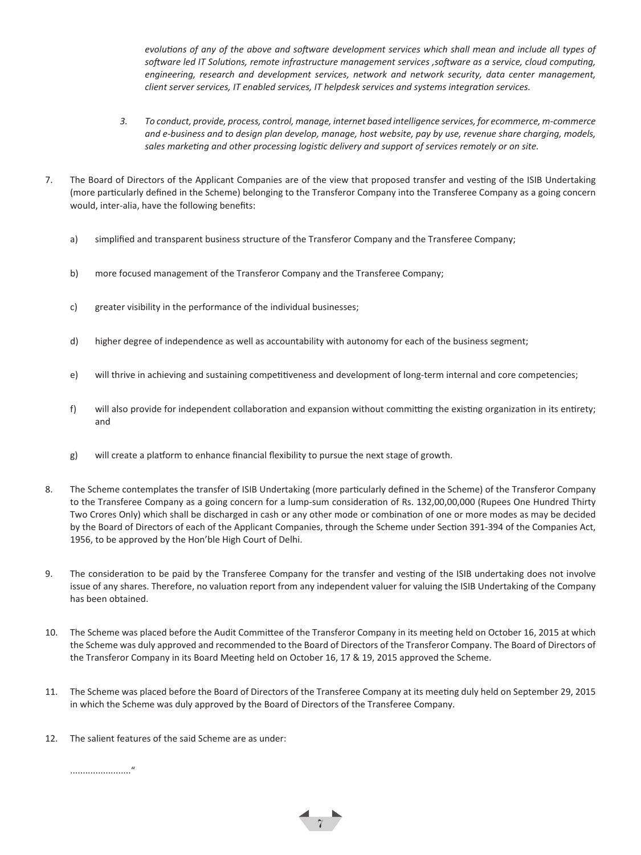*evolutions of any of the above and software development services which shall mean and include all types of software led IT Solutions, remote infrastructure management services ,software as a service, cloud computing, engineering, research and development services, network and network security, data center management, client server services, IT enabled services, IT helpdesk services and systems integration services.*

- *3. To conduct, provide, process, control, manage, internet based intelligence services, for ecommerce, m-commerce and e-business and to design plan develop, manage, host website, pay by use, revenue share charging, models, sales marketing and other processing logistic delivery and support of services remotely or on site.*
- 7. The Board of Directors of the Applicant Companies are of the view that proposed transfer and vesting of the ISIB Undertaking (more particularly defined in the Scheme) belonging to the Transferor Company into the Transferee Company as a going concern would, inter-alia, have the following benefits:
	- a) simplified and transparent business structure of the Transferor Company and the Transferee Company;
	- b) more focused management of the Transferor Company and the Transferee Company;
	- c) greater visibility in the performance of the individual businesses;
	- d) higher degree of independence as well as accountability with autonomy for each of the business segment;
	- e) will thrive in achieving and sustaining competitiveness and development of long-term internal and core competencies;
	- f) will also provide for independent collaboration and expansion without committing the existing organization in its entirety; and
	- g) will create a platform to enhance financial flexibility to pursue the next stage of growth.
- 8. The Scheme contemplates the transfer of ISIB Undertaking (more particularly defined in the Scheme) of the Transferor Company to the Transferee Company as a going concern for a lump-sum consideration of Rs. 132,00,00,000 (Rupees One Hundred Thirty Two Crores Only) which shall be discharged in cash or any other mode or combination of one or more modes as may be decided by the Board of Directors of each of the Applicant Companies, through the Scheme under Section 391-394 of the Companies Act, 1956, to be approved by the Hon'ble High Court of Delhi.
- 9. The consideration to be paid by the Transferee Company for the transfer and vesting of the ISIB undertaking does not involve issue of any shares. Therefore, no valuation report from any independent valuer for valuing the ISIB Undertaking of the Company has been obtained.
- 10. The Scheme was placed before the Audit Committee of the Transferor Company in its meeting held on October 16, 2015 at which the Scheme was duly approved and recommended to the Board of Directors of the Transferor Company. The Board of Directors of the Transferor Company in its Board Meeting held on October 16, 17 & 19, 2015 approved the Scheme.
- 11. The Scheme was placed before the Board of Directors of the Transferee Company at its meeting duly held on September 29, 2015 in which the Scheme was duly approved by the Board of Directors of the Transferee Company.

 $\frac{1}{7}$ 

12. The salient features of the said Scheme are as under:

........................"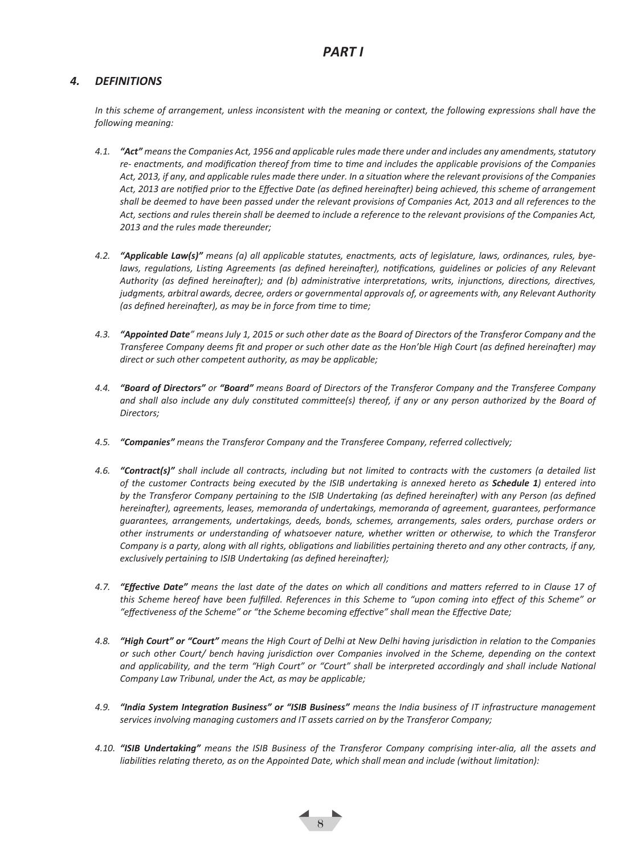### *4. DEFINITIONS*

*In this scheme of arrangement, unless inconsistent with the meaning or context, the following expressions shall have the following meaning:* 

- *4.1. "Act" means the Companies Act, 1956 and applicable rules made there under and includes any amendments, statutory re- enactments, and modification thereof from time to time and includes the applicable provisions of the Companies Act, 2013, if any, and applicable rules made there under. In a situation where the relevant provisions of the Companies Act, 2013 are notified prior to the Effective Date (as defined hereinafter) being achieved, this scheme of arrangement shall be deemed to have been passed under the relevant provisions of Companies Act, 2013 and all references to the Act, sections and rules therein shall be deemed to include a reference to the relevant provisions of the Companies Act, 2013 and the rules made thereunder;*
- *4.2. "Applicable Law(s)" means (a) all applicable statutes, enactments, acts of legislature, laws, ordinances, rules, byelaws, regulations, Listing Agreements (as defined hereinafter), notifications, guidelines or policies of any Relevant Authority (as defined hereinafter); and (b) administrative interpretations, writs, injunctions, directions, directives, judgments, arbitral awards, decree, orders or governmental approvals of, or agreements with, any Relevant Authority (as defined hereinafter), as may be in force from time to time;*
- *4.3. "Appointed Date" means July 1, 2015 or such other date as the Board of Directors of the Transferor Company and the Transferee Company deems fit and proper or such other date as the Hon'ble High Court (as defined hereinafter) may direct or such other competent authority, as may be applicable;*
- *4.4. "Board of Directors" or "Board" means Board of Directors of the Transferor Company and the Transferee Company*  and shall also include any duly constituted committee(s) thereof, if any or any person authorized by the Board of *Directors;*
- *4.5. "Companies" means the Transferor Company and the Transferee Company, referred collectively;*
- *4.6. "Contract(s)" shall include all contracts, including but not limited to contracts with the customers (a detailed list of the customer Contracts being executed by the ISIB undertaking is annexed hereto as Schedule 1) entered into*  by the Transferor Company pertaining to the ISIB Undertaking (as defined hereinafter) with any Person (as defined *hereinafter), agreements, leases, memoranda of undertakings, memoranda of agreement, guarantees, performance guarantees, arrangements, undertakings, deeds, bonds, schemes, arrangements, sales orders, purchase orders or other instruments or understanding of whatsoever nature, whether written or otherwise, to which the Transferor Company is a party, along with all rights, obligations and liabilities pertaining thereto and any other contracts, if any, exclusively pertaining to ISIB Undertaking (as defined hereinafter);*
- *4.7. "Effective Date" means the last date of the dates on which all conditions and matters referred to in Clause 17 of this Scheme hereof have been fulfilled. References in this Scheme to "upon coming into effect of this Scheme" or "effectiveness of the Scheme" or "the Scheme becoming effective" shall mean the Effective Date;*
- *4.8. "High Court" or "Court" means the High Court of Delhi at New Delhi having jurisdiction in relation to the Companies or such other Court/ bench having jurisdiction over Companies involved in the Scheme, depending on the context*  and applicability, and the term "High Court" or "Court" shall be interpreted accordingly and shall include National *Company Law Tribunal, under the Act, as may be applicable;*
- *4.9. "India System Integration Business" or "ISIB Business" means the India business of IT infrastructure management services involving managing customers and IT assets carried on by the Transferor Company;*
- *4.10. "ISIB Undertaking" means the ISIB Business of the Transferor Company comprising inter-alia, all the assets and liabilities relating thereto, as on the Appointed Date, which shall mean and include (without limitation):*

 $\leftarrow$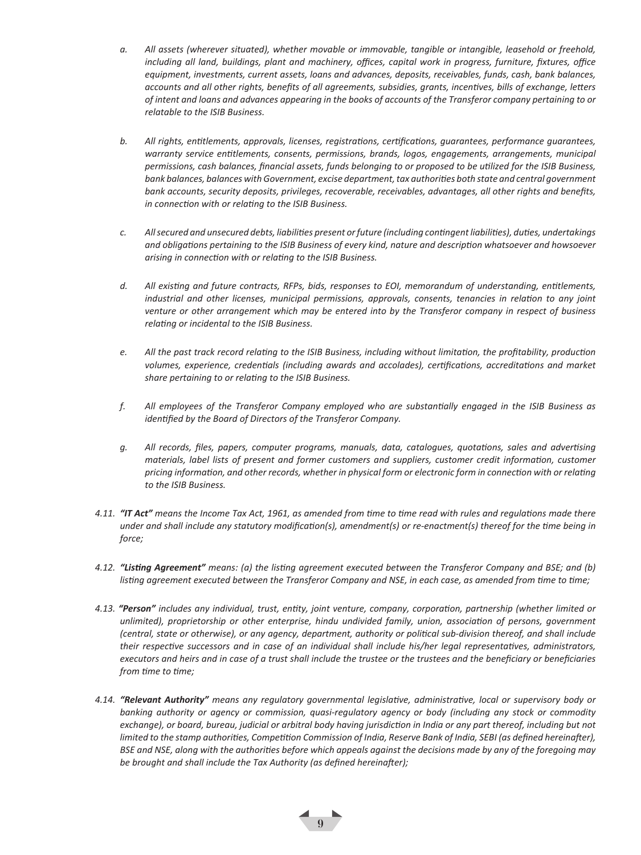- *a. All assets (wherever situated), whether movable or immovable, tangible or intangible, leasehold or freehold, including all land, buildings, plant and machinery, offices, capital work in progress, furniture, fixtures, office equipment, investments, current assets, loans and advances, deposits, receivables, funds, cash, bank balances, accounts and all other rights, benefits of all agreements, subsidies, grants, incentives, bills of exchange, letters of intent and loans and advances appearing in the books of accounts of the Transferor company pertaining to or relatable to the ISIB Business.*
- *b. All rights, entitlements, approvals, licenses, registrations, certifications, guarantees, performance guarantees, warranty service entitlements, consents, permissions, brands, logos, engagements, arrangements, municipal permissions, cash balances, financial assets, funds belonging to or proposed to be utilized for the ISIB Business, bank balances, balances with Government, excise department, tax authorities both state and central government bank accounts, security deposits, privileges, recoverable, receivables, advantages, all other rights and benefits, in connection with or relating to the ISIB Business.*
- *c. All secured and unsecured debts, liabilities present or future (including contingent liabilities), duties, undertakings and obligations pertaining to the ISIB Business of every kind, nature and description whatsoever and howsoever arising in connection with or relating to the ISIB Business.*
- *d. All existing and future contracts, RFPs, bids, responses to EOI, memorandum of understanding, entitlements, industrial and other licenses, municipal permissions, approvals, consents, tenancies in relation to any joint venture or other arrangement which may be entered into by the Transferor company in respect of business relating or incidental to the ISIB Business.*
- *e. All the past track record relating to the ISIB Business, including without limitation, the profitability, production volumes, experience, credentials (including awards and accolades), certifications, accreditations and market share pertaining to or relating to the ISIB Business.*
- *f. All employees of the Transferor Company employed who are substantially engaged in the ISIB Business as identified by the Board of Directors of the Transferor Company.*
- *g. All records, files, papers, computer programs, manuals, data, catalogues, quotations, sales and advertising materials, label lists of present and former customers and suppliers, customer credit information, customer pricing information, and other records, whether in physical form or electronic form in connection with or relating to the ISIB Business.*
- *4.11. "IT Act" means the Income Tax Act, 1961, as amended from time to time read with rules and regulations made there under and shall include any statutory modification(s), amendment(s) or re-enactment(s) thereof for the time being in force;*
- *4.12. "Listing Agreement" means: (a) the listing agreement executed between the Transferor Company and BSE; and (b) listing agreement executed between the Transferor Company and NSE, in each case, as amended from time to time;*
- *4.13. "Person" includes any individual, trust, entity, joint venture, company, corporation, partnership (whether limited or unlimited), proprietorship or other enterprise, hindu undivided family, union, association of persons, government (central, state or otherwise), or any agency, department, authority or political sub-division thereof, and shall include their respective successors and in case of an individual shall include his/her legal representatives, administrators, executors and heirs and in case of a trust shall include the trustee or the trustees and the beneficiary or beneficiaries from time to time;*
- *4.14. "Relevant Authority" means any regulatory governmental legislative, administrative, local or supervisory body or banking authority or agency or commission, quasi-regulatory agency or body (including any stock or commodity exchange), or board, bureau, judicial or arbitral body having jurisdiction in India or any part thereof, including but not limited to the stamp authorities, Competition Commission of India, Reserve Bank of India, SEBI (as defined hereinafter), BSE and NSE, along with the authorities before which appeals against the decisions made by any of the foregoing may be brought and shall include the Tax Authority (as defined hereinafter);*

 $\leftarrow$  9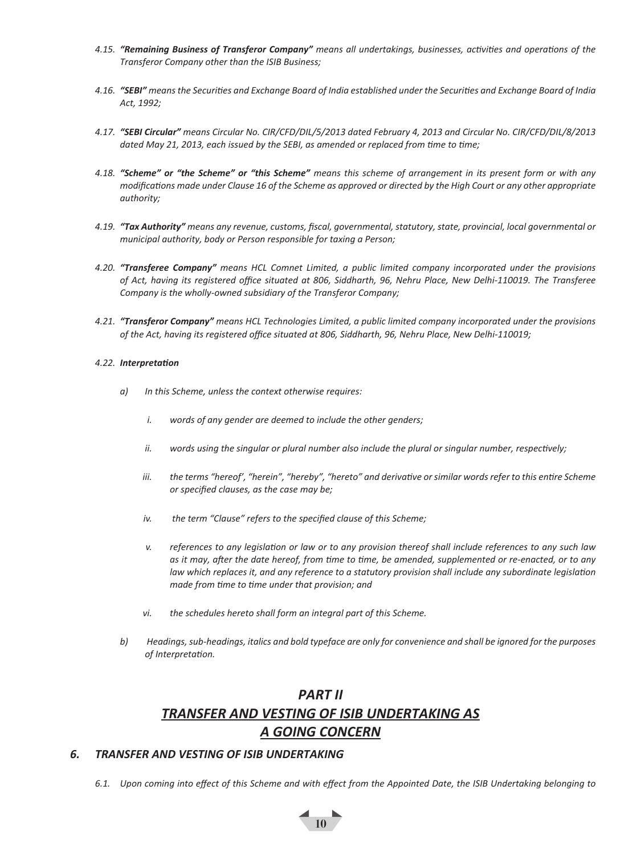- *4.15. "Remaining Business of Transferor Company" means all undertakings, businesses, activities and operations of the Transferor Company other than the ISIB Business;*
- *4.16. "SEBI" means the Securities and Exchange Board of India established under the Securities and Exchange Board of India Act, 1992;*
- *4.17. "SEBI Circular" means Circular No. CIR/CFD/DIL/5/2013 dated February 4, 2013 and Circular No. CIR/CFD/DIL/8/2013 dated May 21, 2013, each issued by the SEBI, as amended or replaced from time to time;*
- *4.18. "Scheme" or "the Scheme" or "this Scheme" means this scheme of arrangement in its present form or with any modifications made under Clause 16 of the Scheme as approved or directed by the High Court or any other appropriate authority;*
- *4.19. "Tax Authority" means any revenue, customs, fiscal, governmental, statutory, state, provincial, local governmental or municipal authority, body or Person responsible for taxing a Person;*
- *4.20. "Transferee Company" means HCL Comnet Limited, a public limited company incorporated under the provisions of Act, having its registered office situated at 806, Siddharth, 96, Nehru Place, New Delhi-110019. The Transferee Company is the wholly-owned subsidiary of the Transferor Company;*
- *4.21. "Transferor Company" means HCL Technologies Limited, a public limited company incorporated under the provisions of the Act, having its registered office situated at 806, Siddharth, 96, Nehru Place, New Delhi-110019;*

#### *4.22. Interpretation*

- *a) In this Scheme, unless the context otherwise requires:* 
	- *i. words of any gender are deemed to include the other genders;*
	- *ii. words using the singular or plural number also include the plural or singular number, respectively;*
	- *iii. the terms "hereof', "herein", "hereby", "hereto" and derivative or similar words refer to this entire Scheme or specified clauses, as the case may be;*
	- *iv. the term "Clause" refers to the specified clause of this Scheme;*
	- *v. references to any legislation or law or to any provision thereof shall include references to any such law as it may, after the date hereof, from time to time, be amended, supplemented or re-enacted, or to any law which replaces it, and any reference to a statutory provision shall include any subordinate legislation made from time to time under that provision; and*
	- *vi. the schedules hereto shall form an integral part of this Scheme.*
- *b) Headings, sub-headings, italics and bold typeface are only for convenience and shall be ignored for the purposes of Interpretation.*

## *PART II TRANSFER AND VESTING OF ISIB UNDERTAKING AS A GOING CONCERN*

#### *6. TRANSFER AND VESTING OF ISIB UNDERTAKING*

*6.1. Upon coming into effect of this Scheme and with effect from the Appointed Date, the ISIB Undertaking belonging to*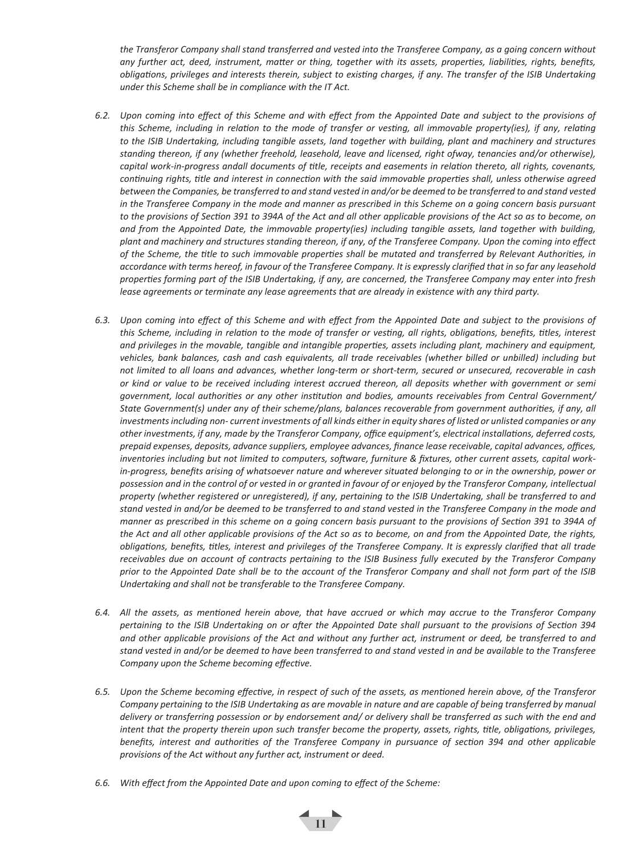*the Transferor Company shall stand transferred and vested into the Transferee Company, as a going concern without any further act, deed, instrument, matter or thing, together with its assets, properties, liabilities, rights, benefits, obligations, privileges and interests therein, subject to existing charges, if any. The transfer of the ISIB Undertaking under this Scheme shall be in compliance with the IT Act.* 

- *6.2. Upon coming into effect of this Scheme and with effect from the Appointed Date and subject to the provisions of this Scheme, including in relation to the mode of transfer or vesting, all immovable property(ies), if any, relating to the ISIB Undertaking, including tangible assets, land together with building, plant and machinery and structures standing thereon, if any (whether freehold, leasehold, leave and licensed, right ofway, tenancies and/or otherwise), capital work-in-progress andall documents of title, receipts and easements in relation thereto, all rights, covenants, continuing rights, title and interest in connection with the said immovable properties shall, unless otherwise agreed between the Companies, be transferred to and stand vested in and/or be deemed to be transferred to and stand vested*  in the Transferee Company in the mode and manner as prescribed in this Scheme on a going concern basis pursuant *to the provisions of Section 391 to 394A of the Act and all other applicable provisions of the Act so as to become, on and from the Appointed Date, the immovable property(ies) including tangible assets, land together with building, plant and machinery and structures standing thereon, if any, of the Transferee Company. Upon the coming into effect of the Scheme, the title to such immovable properties shall be mutated and transferred by Relevant Authorities, in accordance with terms hereof, in favour of the Transferee Company. It is expressly clarified that in so far any leasehold properties forming part of the ISIB Undertaking, if any, are concerned, the Transferee Company may enter into fresh lease agreements or terminate any lease agreements that are already in existence with any third party.*
- *6.3. Upon coming into effect of this Scheme and with effect from the Appointed Date and subject to the provisions of this Scheme, including in relation to the mode of transfer or vesting, all rights, obligations, benefits, titles, interest and privileges in the movable, tangible and intangible properties, assets including plant, machinery and equipment, vehicles, bank balances, cash and cash equivalents, all trade receivables (whether billed or unbilled) including but not limited to all loans and advances, whether long-term or short-term, secured or unsecured, recoverable in cash or kind or value to be received including interest accrued thereon, all deposits whether with government or semi government, local authorities or any other institution and bodies, amounts receivables from Central Government/ State Government(s) under any of their scheme/plans, balances recoverable from government authorities, if any, all investments including non- current investments of all kinds either in equity shares of listed or unlisted companies or any other investments, if any, made by the Transferor Company, office equipment's, electrical installations, deferred costs, prepaid expenses, deposits, advance suppliers, employee advances, finance lease receivable, capital advances, offices, inventories including but not limited to computers, software, furniture & fixtures, other current assets, capital work*in-progress, benefits arising of whatsoever nature and wherever situated belonging to or in the ownership, power or *possession and in the control of or vested in or granted in favour of or enjoyed by the Transferor Company, intellectual property (whether registered or unregistered), if any, pertaining to the ISIB Undertaking, shall be transferred to and stand vested in and/or be deemed to be transferred to and stand vested in the Transferee Company in the mode and manner as prescribed in this scheme on a going concern basis pursuant to the provisions of Section 391 to 394A of the Act and all other applicable provisions of the Act so as to become, on and from the Appointed Date, the rights, obligations, benefits, titles, interest and privileges of the Transferee Company. It is expressly clarified that all trade receivables due on account of contracts pertaining to the ISIB Business fully executed by the Transferor Company prior to the Appointed Date shall be to the account of the Transferor Company and shall not form part of the ISIB Undertaking and shall not be transferable to the Transferee Company.*
- *6.4. All the assets, as mentioned herein above, that have accrued or which may accrue to the Transferor Company pertaining to the ISIB Undertaking on or after the Appointed Date shall pursuant to the provisions of Section 394 and other applicable provisions of the Act and without any further act, instrument or deed, be transferred to and stand vested in and/or be deemed to have been transferred to and stand vested in and be available to the Transferee Company upon the Scheme becoming effective.*
- *6.5. Upon the Scheme becoming effective, in respect of such of the assets, as mentioned herein above, of the Transferor Company pertaining to the ISIB Undertaking as are movable in nature and are capable of being transferred by manual delivery or transferring possession or by endorsement and/ or delivery shall be transferred as such with the end and intent that the property therein upon such transfer become the property, assets, rights, title, obligations, privileges, benefits, interest and authorities of the Transferee Company in pursuance of section 394 and other applicable provisions of the Act without any further act, instrument or deed.*

111

*6.6. With effect from the Appointed Date and upon coming to effect of the Scheme:*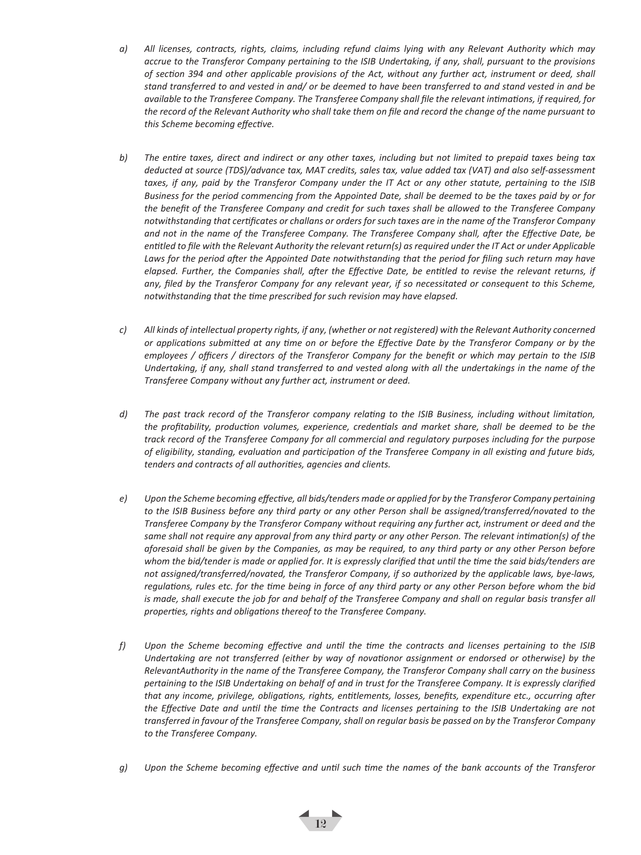- *a) All licenses, contracts, rights, claims, including refund claims lying with any Relevant Authority which may accrue to the Transferor Company pertaining to the ISIB Undertaking, if any, shall, pursuant to the provisions of section 394 and other applicable provisions of the Act, without any further act, instrument or deed, shall stand transferred to and vested in and/ or be deemed to have been transferred to and stand vested in and be available to the Transferee Company. The Transferee Company shall file the relevant intimations, if required, for the record of the Relevant Authority who shall take them on file and record the change of the name pursuant to this Scheme becoming effective.*
- *b) The entire taxes, direct and indirect or any other taxes, including but not limited to prepaid taxes being tax deducted at source (TDS)/advance tax, MAT credits, sales tax, value added tax (VAT) and also self-assessment taxes, if any, paid by the Transferor Company under the IT Act or any other statute, pertaining to the ISIB Business for the period commencing from the Appointed Date, shall be deemed to be the taxes paid by or for the benefit of the Transferee Company and credit for such taxes shall be allowed to the Transferee Company notwithstanding that certificates or challans or orders for such taxes are in the name of the Transferor Company and not in the name of the Transferee Company. The Transferee Company shall, after the Effective Date, be entitled to file with the Relevant Authority the relevant return(s) as required under the IT Act or under Applicable Laws for the period after the Appointed Date notwithstanding that the period for filing such return may have elapsed. Further, the Companies shall, after the Effective Date, be entitled to revise the relevant returns, if any, filed by the Transferor Company for any relevant year, if so necessitated or consequent to this Scheme, notwithstanding that the time prescribed for such revision may have elapsed.*
- *c) All kinds of intellectual property rights, if any, (whether or not registered) with the Relevant Authority concerned or applications submitted at any time on or before the Effective Date by the Transferor Company or by the employees / officers / directors of the Transferor Company for the benefit or which may pertain to the ISIB Undertaking, if any, shall stand transferred to and vested along with all the undertakings in the name of the Transferee Company without any further act, instrument or deed.*
- *d) The past track record of the Transferor company relating to the ISIB Business, including without limitation, the profitability, production volumes, experience, credentials and market share, shall be deemed to be the track record of the Transferee Company for all commercial and regulatory purposes including for the purpose of eligibility, standing, evaluation and participation of the Transferee Company in all existing and future bids, tenders and contracts of all authorities, agencies and clients.*
- *e) Upon the Scheme becoming effective, all bids/tenders made or applied for by the Transferor Company pertaining to the ISIB Business before any third party or any other Person shall be assigned/transferred/novated to the Transferee Company by the Transferor Company without requiring any further act, instrument or deed and the same shall not require any approval from any third party or any other Person. The relevant intimation(s) of the aforesaid shall be given by the Companies, as may be required, to any third party or any other Person before*  whom the bid/tender is made or applied for. It is expressly clarified that until the time the said bids/tenders are *not assigned/transferred/novated, the Transferor Company, if so authorized by the applicable laws, bye-laws, regulations, rules etc. for the time being in force of any third party or any other Person before whom the bid is made, shall execute the job for and behalf of the Transferee Company and shall on reqular basis transfer all properties, rights and obligations thereof to the Transferee Company.*
- *f) Upon the Scheme becoming effective and until the time the contracts and licenses pertaining to the ISIB Undertaking are not transferred (either by way of novationor assignment or endorsed or otherwise) by the RelevantAuthority in the name of the Transferee Company, the Transferor Company shall carry on the business pertaining to the ISIB Undertaking on behalf of and in trust for the Transferee Company. It is expressly clarified that any income, privilege, obligations, rights, entitlements, losses, benefits, expenditure etc., occurring after the Effective Date and until the time the Contracts and licenses pertaining to the ISIB Undertaking are not transferred in favour of the Transferee Company, shall on regular basis be passed on by the Transferor Company to the Transferee Company.*
- *g) Upon the Scheme becoming effective and until such time the names of the bank accounts of the Transferor*

 $\left\lfloor \frac{1}{2} \right\rfloor$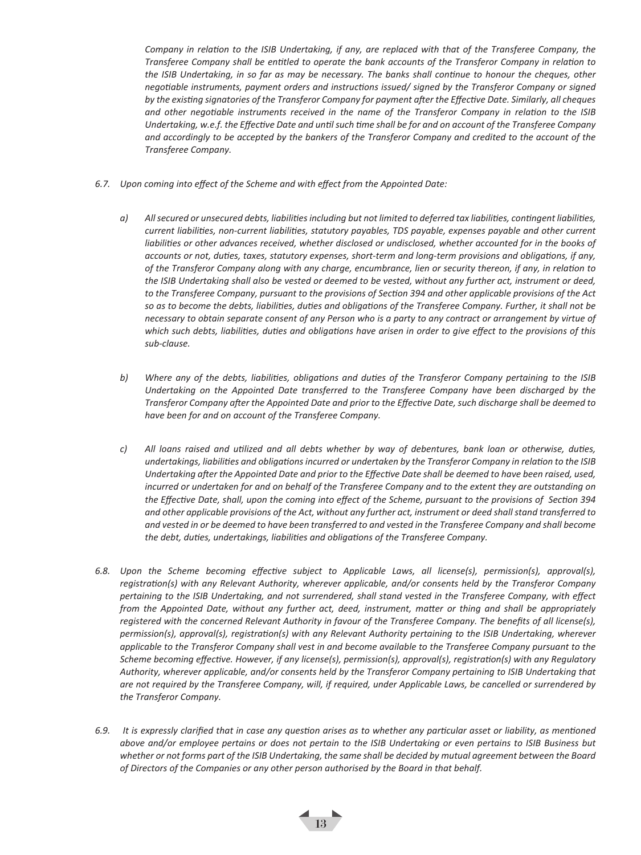*Company in relation to the ISIB Undertaking, if any, are replaced with that of the Transferee Company, the Transferee Company shall be entitled to operate the bank accounts of the Transferor Company in relation to the ISIB Undertaking, in so far as may be necessary. The banks shall continue to honour the cheques, other negotiable instruments, payment orders and instructions issued/ signed by the Transferor Company or signed by the existing signatories of the Transferor Company for payment after the Effective Date. Similarly, all cheques and other negotiable instruments received in the name of the Transferor Company in relation to the ISIB Undertaking, w.e.f. the Effective Date and until such time shall be for and on account of the Transferee Company and accordingly to be accepted by the bankers of the Transferor Company and credited to the account of the Transferee Company.* 

- *6.7. Upon coming into effect of the Scheme and with effect from the Appointed Date:* 
	- *a) All secured or unsecured debts, liabilities including but not limited to deferred tax liabilities, contingent liabilities, current liabilities, non-current liabilities, statutory payables, TDS payable, expenses payable and other current liabilities or other advances received, whether disclosed or undisclosed, whether accounted for in the books of accounts or not, duties, taxes, statutory expenses, short-term and long-term provisions and obligations, if any, of the Transferor Company along with any charge, encumbrance, lien or security thereon, if any, in relation to the ISIB Undertaking shall also be vested or deemed to be vested, without any further act, instrument or deed, to the Transferee Company, pursuant to the provisions of Section 394 and other applicable provisions of the Act so as to become the debts, liabilities, duties and obligations of the Transferee Company. Further, it shall not be necessary to obtain separate consent of any Person who is a party to any contract or arrangement by virtue of which such debts, liabilities, duties and obligations have arisen in order to give effect to the provisions of this sub-clause.*
	- *b) Where any of the debts, liabilities, obligations and duties of the Transferor Company pertaining to the ISIB Undertaking on the Appointed Date transferred to the Transferee Company have been discharged by the Transferor Company after the Appointed Date and prior to the Effective Date, such discharge shall be deemed to have been for and on account of the Transferee Company.*
	- *c) All loans raised and utilized and all debts whether by way of debentures, bank loan or otherwise, duties, undertakings, liabilities and obligations incurred or undertaken by the Transferor Company in relation to the ISIB Undertaking after the Appointed Date and prior to the Effective Date shall be deemed to have been raised, used, incurred or undertaken for and on behalf of the Transferee Company and to the extent they are outstanding on the Effective Date, shall, upon the coming into effect of the Scheme, pursuant to the provisions of Section 394 and other applicable provisions of the Act, without any further act, instrument or deed shall stand transferred to and vested in or be deemed to have been transferred to and vested in the Transferee Company and shall become the debt, duties, undertakings, liabilities and obligations of the Transferee Company.*
- *6.8. Upon the Scheme becoming effective subject to Applicable Laws, all license(s), permission(s), approval(s), registration(s) with any Relevant Authority, wherever applicable, and/or consents held by the Transferor Company pertaining to the ISIB Undertaking, and not surrendered, shall stand vested in the Transferee Company, with effect from the Appointed Date, without any further act, deed, instrument, matter or thing and shall be appropriately registered with the concerned Relevant Authority in favour of the Transferee Company. The benefits of all license(s), permission(s), approval(s), registration(s) with any Relevant Authority pertaining to the ISIB Undertaking, wherever applicable to the Transferor Company shall vest in and become available to the Transferee Company pursuant to the Scheme becoming effective. However, if any license(s), permission(s), approval(s), registration(s) with any Regulatory Authority, wherever applicable, and/or consents held by the Transferor Company pertaining to ISIB Undertaking that are not required by the Transferee Company, will, if required, under Applicable Laws, be cancelled or surrendered by the Transferor Company.*
- *6.9. It is expressly clarified that in case any question arises as to whether any particular asset or liability, as mentioned above and/or employee pertains or does not pertain to the ISIB Undertaking or even pertains to ISIB Business but whether or not forms part of the ISIB Undertaking, the same shall be decided by mutual agreement between the Board of Directors of the Companies or any other person authorised by the Board in that behalf.*

 $\overline{13}$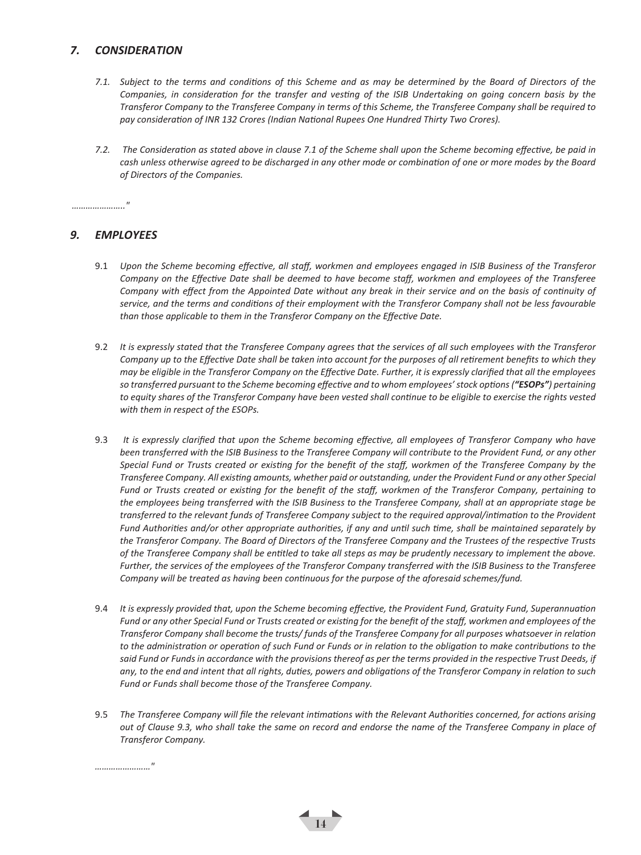## *7. CONSIDERATION*

- *7.1. Subject to the terms and conditions of this Scheme and as may be determined by the Board of Directors of the Companies, in consideration for the transfer and vesting of the ISIB Undertaking on going concern basis by the Transferor Company to the Transferee Company in terms of this Scheme, the Transferee Company shall be required to pay consideration of INR 132 Crores (Indian National Rupees One Hundred Thirty Two Crores).*
- *7.2. The Consideration as stated above in clause 7.1 of the Scheme shall upon the Scheme becoming effective, be paid in cash unless otherwise agreed to be discharged in any other mode or combination of one or more modes by the Board of Directors of the Companies.*

*………………….."*

### *9. EMPLOYEES*

- 9.1 *Upon the Scheme becoming effective, all staff, workmen and employees engaged in ISIB Business of the Transferor Company on the Effective Date shall be deemed to have become staff, workmen and employees of the Transferee Company with effect from the Appointed Date without any break in their service and on the basis of continuity of service, and the terms and conditions of their employment with the Transferor Company shall not be less favourable than those applicable to them in the Transferor Company on the Effective Date.*
- 9.2 *It is expressly stated that the Transferee Company agrees that the services of all such employees with the Transferor Company up to the Effective Date shall be taken into account for the purposes of all retirement benefits to which they may be eligible in the Transferor Company on the Effective Date. Further, it is expressly clarified that all the employees so transferred pursuant to the Scheme becoming effective and to whom employees' stock options ("ESOPs") pertaining to equity shares of the Transferor Company have been vested shall continue to be eligible to exercise the rights vested with them in respect of the ESOPs.*
- 9.3 *It is expressly clarified that upon the Scheme becoming effective, all employees of Transferor Company who have been transferred with the ISIB Business to the Transferee Company will contribute to the Provident Fund, or any other Special Fund or Trusts created or existing for the benefit of the staff, workmen of the Transferee Company by the Transferee Company. All existing amounts, whether paid or outstanding, under the Provident Fund or any other Special Fund or Trusts created or existing for the benefit of the staff, workmen of the Transferor Company, pertaining to the employees being transferred with the ISIB Business to the Transferee Company, shall at an appropriate stage be transferred to the relevant funds of Transferee Company subject to the required approval/intimation to the Provident Fund Authorities and/or other appropriate authorities, if any and until such time, shall be maintained separately by the Transferor Company. The Board of Directors of the Transferee Company and the Trustees of the respective Trusts of the Transferee Company shall be entitled to take all steps as may be prudently necessary to implement the above. Further, the services of the employees of the Transferor Company transferred with the ISIB Business to the Transferee Company will be treated as having been continuous for the purpose of the aforesaid schemes/fund.*
- 9.4 *It is expressly provided that, upon the Scheme becoming effective, the Provident Fund, Gratuity Fund, Superannuation Fund or any other Special Fund or Trusts created or existing for the benefit of the staff, workmen and employees of the Transferor Company shall become the trusts/ funds of the Transferee Company for all purposes whatsoever in relation to the administration or operation of such Fund or Funds or in relation to the obligation to make contributions to the said Fund or Funds in accordance with the provisions thereof as per the terms provided in the respective Trust Deeds, if any, to the end and intent that all rights, duties, powers and obligations of the Transferor Company in relation to such Fund or Funds shall become those of the Transferee Company.*
- 9.5 *The Transferee Company will file the relevant intimations with the Relevant Authorities concerned, for actions arising out of Clause 9.3, who shall take the same on record and endorse the name of the Transferee Company in place of Transferor Company.*

 $\left( \frac{1}{14} \right)$ 

*……………………"*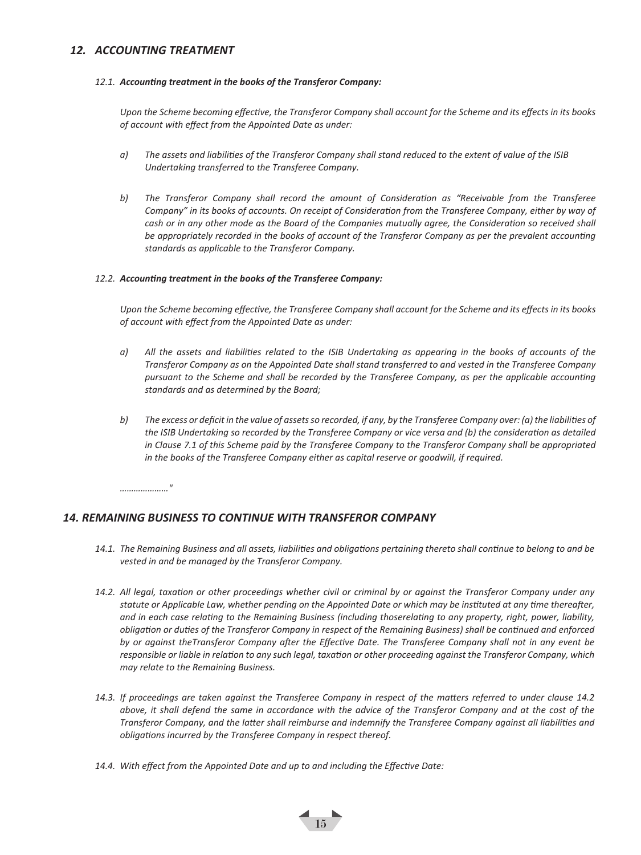### *12. ACCOUNTING TREATMENT*

#### *12.1. Accounting treatment in the books of the Transferor Company:*

*Upon the Scheme becoming effective, the Transferor Company shall account for the Scheme and its effects in its books of account with effect from the Appointed Date as under:* 

- *a) The assets and liabilities of the Transferor Company shall stand reduced to the extent of value of the ISIB Undertaking transferred to the Transferee Company.*
- *b) The Transferor Company shall record the amount of Consideration as "Receivable from the Transferee Company" in its books of accounts. On receipt of Consideration from the Transferee Company, either by way of cash or in any other mode as the Board of the Companies mutually agree, the Consideration so received shall be appropriately recorded in the books of account of the Transferor Company as per the prevalent accounting standards as applicable to the Transferor Company.*

#### *12.2. Accounting treatment in the books of the Transferee Company:*

*Upon the Scheme becoming effective, the Transferee Company shall account for the Scheme and its effects in its books of account with effect from the Appointed Date as under:*

- *a) All the assets and liabilities related to the ISIB Undertaking as appearing in the books of accounts of the Transferor Company as on the Appointed Date shall stand transferred to and vested in the Transferee Company pursuant to the Scheme and shall be recorded by the Transferee Company, as per the applicable accounting standards and as determined by the Board;*
- *b) The excess or deficit in the value of assets so recorded, if any, by the Transferee Company over: (a) the liabilities of the ISIB Undertaking so recorded by the Transferee Company or vice versa and (b) the consideration as detailed in Clause 7.1 of this Scheme paid by the Transferee Company to the Transferor Company shall be appropriated in the books of the Transferee Company either as capital reserve or goodwill, if required.*

*…………………"*

#### *14. REMAINING BUSINESS TO CONTINUE WITH TRANSFEROR COMPANY*

- *14.1. The Remaining Business and all assets, liabilities and obligations pertaining thereto shall continue to belong to and be vested in and be managed by the Transferor Company.*
- *14.2. All legal, taxation or other proceedings whether civil or criminal by or against the Transferor Company under any statute or Applicable Law, whether pending on the Appointed Date or which may be instituted at any time thereafter, and in each case relating to the Remaining Business (including thoserelating to any property, right, power, liability, obligation or duties of the Transferor Company in respect of the Remaining Business) shall be continued and enforced by or against theTransferor Company after the Effective Date. The Transferee Company shall not in any event be responsible or liable in relation to any such legal, taxation or other proceeding against the Transferor Company, which may relate to the Remaining Business.*
- *14.3. If proceedings are taken against the Transferee Company in respect of the matters referred to under clause 14.2 above, it shall defend the same in accordance with the advice of the Transferor Company and at the cost of the Transferor Company, and the latter shall reimburse and indemnify the Transferee Company against all liabilities and obligations incurred by the Transferee Company in respect thereof.*

 $\frac{1}{15}$ 

*14.4. With effect from the Appointed Date and up to and including the Effective Date:*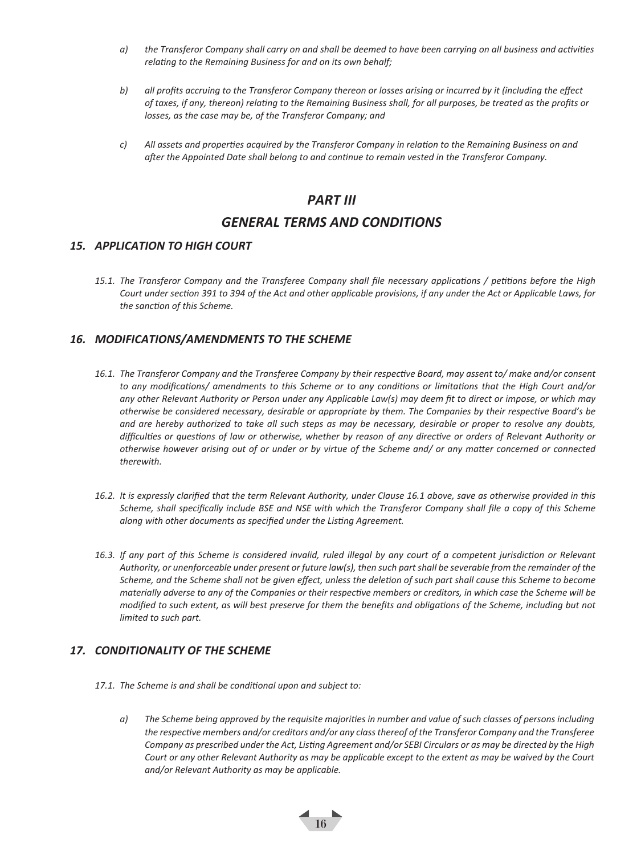- *a) the Transferor Company shall carry on and shall be deemed to have been carrying on all business and activities relating to the Remaining Business for and on its own behalf;*
- *b) all profits accruing to the Transferor Company thereon or losses arising or incurred by it (including the effect of taxes, if any, thereon) relating to the Remaining Business shall, for all purposes, be treated as the profits or losses, as the case may be, of the Transferor Company; and*
- *c) All assets and properties acquired by the Transferor Company in relation to the Remaining Business on and after the Appointed Date shall belong to and continue to remain vested in the Transferor Company.*

## *PART III*

## *GENERAL TERMS AND CONDITIONS*

### *15. APPLICATION TO HIGH COURT*

*15.1. The Transferor Company and the Transferee Company shall file necessary applications / petitions before the High Court under section 391 to 394 of the Act and other applicable provisions, if any under the Act or Applicable Laws, for the sanction of this Scheme.*

## *16. MODIFICATIONS/AMENDMENTS TO THE SCHEME*

- *16.1. The Transferor Company and the Transferee Company by their respective Board, may assent to/ make and/or consent to any modifications/ amendments to this Scheme or to any conditions or limitations that the High Court and/or any other Relevant Authority or Person under any Applicable Law(s) may deem fit to direct or impose, or which may otherwise be considered necessary, desirable or appropriate by them. The Companies by their respective Board's be and are hereby authorized to take all such steps as may be necessary, desirable or proper to resolve any doubts, difficulties or questions of law or otherwise, whether by reason of any directive or orders of Relevant Authority or otherwise however arising out of or under or by virtue of the Scheme and/ or any matter concerned or connected therewith.*
- *16.2. It is expressly clarified that the term Relevant Authority, under Clause 16.1 above, save as otherwise provided in this Scheme, shall specifically include BSE and NSE with which the Transferor Company shall file a copy of this Scheme along with other documents as specified under the Listing Agreement.*
- *16.3. If any part of this Scheme is considered invalid, ruled illegal by any court of a competent jurisdiction or Relevant Authority, or unenforceable under present or future law(s), then such part shall be severable from the remainder of the Scheme, and the Scheme shall not be given effect, unless the deletion of such part shall cause this Scheme to become materially adverse to any of the Companies or their respective members or creditors, in which case the Scheme will be modified to such extent, as will best preserve for them the benefits and obligations of the Scheme, including but not limited to such part.*

## *17. CONDITIONALITY OF THE SCHEME*

- *17.1. The Scheme is and shall be conditional upon and subject to:* 
	- *a) The Scheme being approved by the requisite majorities in number and value of such classes of persons including the respective members and/or creditors and/or any class thereof of the Transferor Company and the Transferee Company as prescribed under the Act, Listing Agreement and/or SEBI Circulars or as may be directed by the High Court or any other Relevant Authority as may be applicable except to the extent as may be waived by the Court and/or Relevant Authority as may be applicable.*

16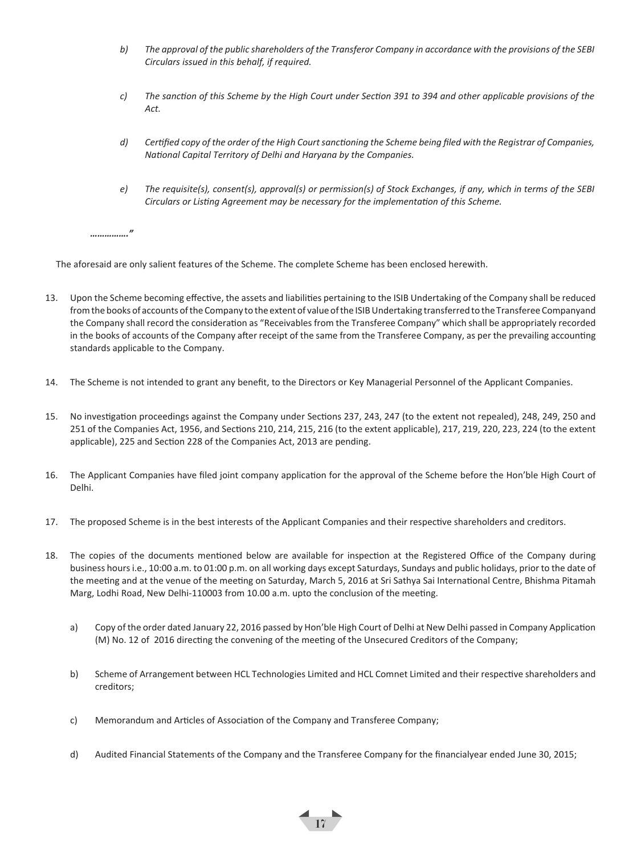- *b) The approval of the public shareholders of the Transferor Company in accordance with the provisions of the SEBI Circulars issued in this behalf, if required.*
- *c) The sanction of this Scheme by the High Court under Section 391 to 394 and other applicable provisions of the Act.*
- *d) Certified copy of the order of the High Court sanctioning the Scheme being filed with the Registrar of Companies, National Capital Territory of Delhi and Haryana by the Companies.*
- *e) The requisite(s), consent(s), approval(s) or permission(s) of Stock Exchanges, if any, which in terms of the SEBI Circulars or Listing Agreement may be necessary for the implementation of this Scheme.*

*……………."*

The aforesaid are only salient features of the Scheme. The complete Scheme has been enclosed herewith.

- 13. Upon the Scheme becoming effective, the assets and liabilities pertaining to the ISIB Undertaking of the Company shall be reduced from the books of accounts of the Company to the extent of value of the ISIB Undertaking transferred to the Transferee Companyand the Company shall record the consideration as "Receivables from the Transferee Company" which shall be appropriately recorded in the books of accounts of the Company after receipt of the same from the Transferee Company, as per the prevailing accounting standards applicable to the Company.
- 14. The Scheme is not intended to grant any benefit, to the Directors or Key Managerial Personnel of the Applicant Companies.
- 15. No investigation proceedings against the Company under Sections 237, 243, 247 (to the extent not repealed), 248, 249, 250 and 251 of the Companies Act, 1956, and Sections 210, 214, 215, 216 (to the extent applicable), 217, 219, 220, 223, 224 (to the extent applicable), 225 and Section 228 of the Companies Act, 2013 are pending.
- 16. The Applicant Companies have filed joint company application for the approval of the Scheme before the Hon'ble High Court of Delhi.
- 17. The proposed Scheme is in the best interests of the Applicant Companies and their respective shareholders and creditors.
- 18. The copies of the documents mentioned below are available for inspection at the Registered Office of the Company during business hours i.e., 10:00 a.m. to 01:00 p.m. on all working days except Saturdays, Sundays and public holidays, prior to the date of the meeting and at the venue of the meeting on Saturday, March 5, 2016 at Sri Sathya Sai International Centre, Bhishma Pitamah Marg, Lodhi Road, New Delhi-110003 from 10.00 a.m. upto the conclusion of the meeting.
	- a) Copy of the order dated January 22, 2016 passed by Hon'ble High Court of Delhi at New Delhi passed in Company Application (M) No. 12 of 2016 directing the convening of the meeting of the Unsecured Creditors of the Company;
	- b) Scheme of Arrangement between HCL Technologies Limited and HCL Comnet Limited and their respective shareholders and creditors;
	- c) Memorandum and Articles of Association of the Company and Transferee Company;
	- d) Audited Financial Statements of the Company and the Transferee Company for the financialyear ended June 30, 2015;

 $\leftarrow$   $\frac{17}{17}$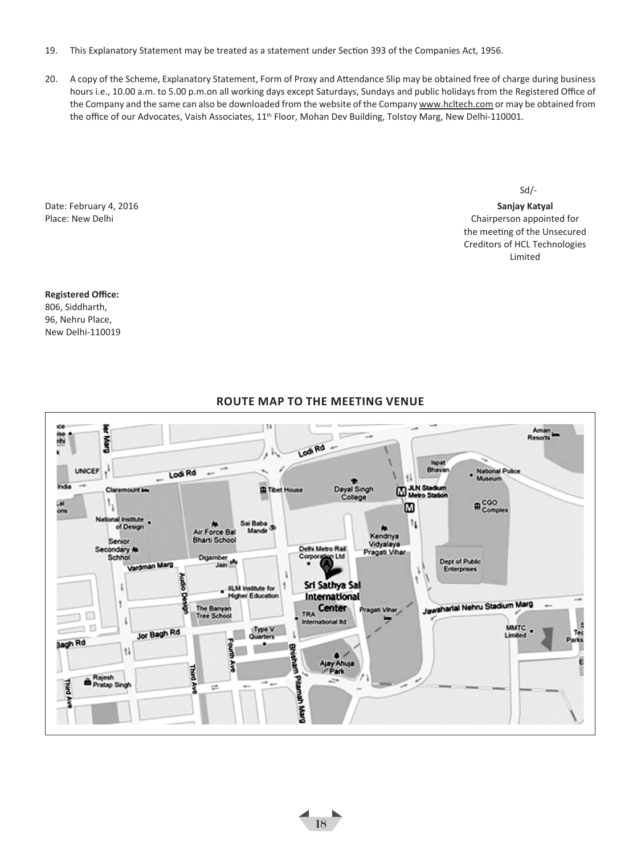- 19. This Explanatory Statement may be treated as a statement under Section 393 of the Companies Act, 1956.
- 20. A copy of the Scheme, Explanatory Statement, Form of Proxy and Attendance Slip may be obtained free of charge during business hours i.e., 10.00 a.m. to 5.00 p.m.on all working days except Saturdays, Sundays and public holidays from the Registered Office of the Company and the same can also be downloaded from the website of the Company www.hcltech.com or may be obtained from the office of our Advocates, Vaish Associates, 11<sup>th</sup> Floor, Mohan Dev Building, Tolstoy Marg, New Delhi-110001.

Date: February 4, 2016 **Sanjay Katyal**

Sd/-

Place: New Delhi Chairperson appointed for the United States of the United States of the Chairperson appointed for the meeting of the Unsecured Creditors of HCL Technologies Limited

#### **Registered Office:**

806, Siddharth, 96, Nehru Place, New Delhi-110019



 $\frac{1}{18}$ 

## **Route map to the meeting venue**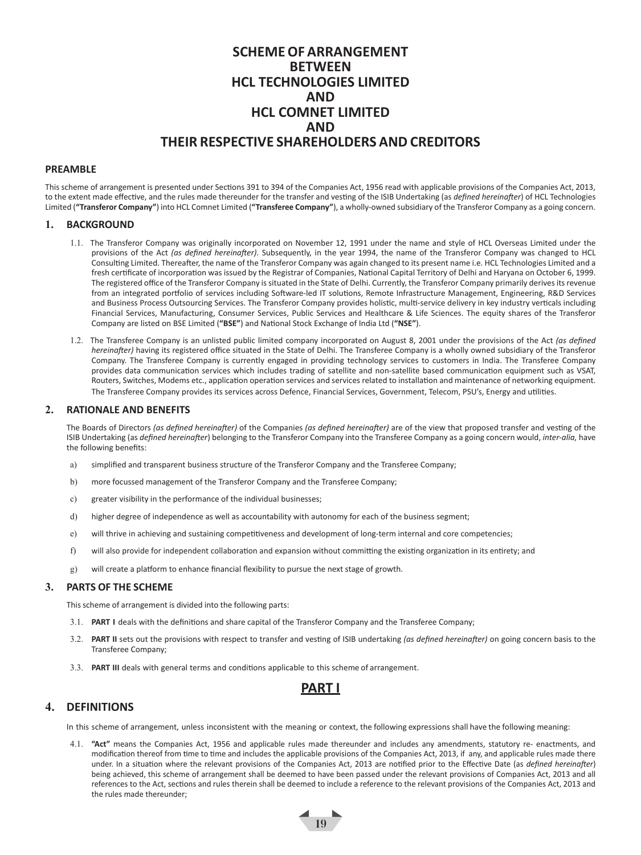## **SCHEME OF ARRANGEMENT BETWEEN HCL TECHNOLOGIES LIMITED AND HCL COMNET LIMITED AND THEIR RESPECTIVE SHAREHOLDERS AND CREDITORS**

#### **PREAMBLE**

This scheme of arrangement is presented under Sections 391 to 394 of the Companies Act, 1956 read with applicable provisions of the Companies Act, 2013, to the extent made effective, and the rules made thereunder for the transfer and vesting of the ISIB Undertaking (as *defined hereinafter*) of HCL Technologies Limited (**"Transferor Company"**) into HCL Comnet Limited (**"Transferee Company"**), a wholly-owned subsidiary of the Transferor Company as a going concern.

#### **1. BACKGROUND**

- 1.1. The Transferor Company was originally incorporated on November 12, 1991 under the name and style of HCL Overseas Limited under the provisions of the Act *(as defined hereinafter)*. Subsequently, in the year 1994, the name of the Transferor Company was changed to HCL Consulting Limited. Thereafter, the name of the Transferor Company was again changed to its present name i.e. HCL Technologies Limited and a fresh certificate of incorporation was issued by the Registrar of Companies, National Capital Territory of Delhi and Haryana on October 6, 1999. The registered office of the Transferor Company is situated in the State of Delhi. Currently, the Transferor Company primarily derives its revenue from an integrated portfolio of services including Software-led IT solutions, Remote Infrastructure Management, Engineering, R&D Services and Business Process Outsourcing Services. The Transferor Company provides holistic, multi-service delivery in key industry verticals including Financial Services, Manufacturing, Consumer Services, Public Services and Healthcare & Life Sciences. The equity shares of the Transferor Company are listed on BSE Limited (**"BSE"**) and National Stock Exchange of India Ltd (**"NSE"**).
- 1.2. The Transferee Company is an unlisted public limited company incorporated on August 8, 2001 under the provisions of the Act *(as defined hereinafter)* having its registered office situated in the State of Delhi. The Transferee Company is a wholly owned subsidiary of the Transferor Company. The Transferee Company is currently engaged in providing technology services to customers in India. The Transferee Company provides data communication services which includes trading of satellite and non-satellite based communication equipment such as VSAT, Routers, Switches, Modems etc., application operation services and services related to installation and maintenance of networking equipment. The Transferee Company provides its services across Defence, Financial Services, Government, Telecom, PSU's, Energy and utilities.

#### **2. RATIONALE AND BENEFITS**

The Boards of Directors *(as defined hereinafter)* of the Companies *(as defined hereinafter)* are of the view that proposed transfer and vesting of the ISIB Undertaking (as *defined hereinafter*) belonging to the Transferor Company into the Transferee Company as a going concern would, *inter-alia,* have the following benefits:

- a) simplified and transparent business structure of the Transferor Company and the Transferee Company;
- b) more focussed management of the Transferor Company and the Transferee Company;
- c) greater visibility in the performance of the individual businesses;
- d) higher degree of independence as well as accountability with autonomy for each of the business segment;
- e) will thrive in achieving and sustaining competitiveness and development of long-term internal and core competencies;
- f) will also provide for independent collaboration and expansion without committing the existing organization in its entirety; and
- g) will create a platform to enhance financial flexibility to pursue the next stage of growth.

#### **3. PARTS OF THE SCHEME**

This scheme of arrangement is divided into the following parts:

- 3.1. **PART I** deals with the definitions and share capital of the Transferor Company and the Transferee Company;
- 3.2. **PART II** sets out the provisions with respect to transfer and vesting of ISIB undertaking *(as defined hereinafter)* on going concern basis to the Transferee Company;
- 3.3. **PART III** deals with general terms and conditions applicable to this scheme of arrangement.

## **PART I**

#### **4. DEFINITIONS**

In this scheme of arrangement, unless inconsistent with the meaning or context, the following expressions shall have the following meaning:

 $\frac{1}{19}$ 

4.1. **"Act"** means the Companies Act, 1956 and applicable rules made thereunder and includes any amendments, statutory re- enactments, and modification thereof from time to time and includes the applicable provisions of the Companies Act, 2013, if any, and applicable rules made there under. In a situation where the relevant provisions of the Companies Act, 2013 are notified prior to the Effective Date (as *defined hereinafter*) being achieved, this scheme of arrangement shall be deemed to have been passed under the relevant provisions of Companies Act, 2013 and all references to the Act, sections and rules therein shall be deemed to include a reference to the relevant provisions of the Companies Act, 2013 and the rules made thereunder;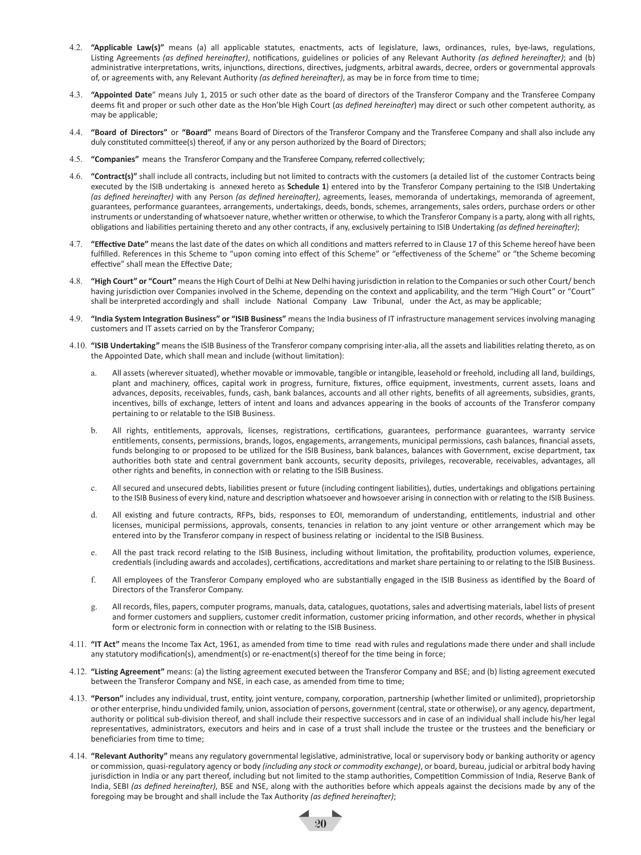- 4.2. **"Applicable Law(s)"** means (a) all applicable statutes, enactments, acts of legislature, laws, ordinances, rules, bye-laws, regulations, Listing Agreements *(as defined hereinafter)*, notifications, guidelines or policies of any Relevant Authority *(as defined hereinafter)*; and (b) administrative interpretations, writs, injunctions, directions, directives, judgments, arbitral awards, decree, orders or governmental approvals of, or agreements with, any Relevant Authority *(as defined hereinafter)*, as may be in force from time to time;
- 4.3. **"Appointed Date**" means July 1, 2015 or such other date as the board of directors of the Transferor Company and the Transferee Company deems fit and proper or such other date as the Hon'ble High Court (*as defined hereinafter*) may direct or such other competent authority, as may be applicable;
- 4.4. **"Board of Directors"** or **"Board"** means Board of Directors of the Transferor Company and the Transferee Company and shall also include any duly constituted committee(s) thereof, if any or any person authorized by the Board of Directors;
- 4.5. **"Companies"** means the Transferor Company and the Transferee Company, referred collectively;
- 4.6. **"Contract(s)"** shall include all contracts, including but not limited to contracts with the customers (a detailed list of the customer Contracts being executed by the ISIB undertaking is annexed hereto as **Schedule 1**) entered into by the Transferor Company pertaining to the ISIB Undertaking *(as defined hereinafter)* with any Person *(as defined hereinafter)*, agreements, leases, memoranda of undertakings, memoranda of agreement, guarantees, performance guarantees, arrangements, undertakings, deeds, bonds, schemes, arrangements, sales orders, purchase orders or other instruments or understanding of whatsoever nature, whether written or otherwise, to which the Transferor Company is a party, along with all rights, obligations and liabilities pertaining thereto and any other contracts, if any, exclusively pertaining to ISIB Undertaking *(as defined hereinafter)*;
- 4.7. **"Effective Date"** means the last date of the dates on which all conditions and matters referred to in Clause 17 of this Scheme hereof have been fulfilled. References in this Scheme to "upon coming into effect of this Scheme" or "effectiveness of the Scheme" or "the Scheme becoming effective" shall mean the Effective Date;
- 4.8. **"High Court" or "Court"** means the High Court of Delhi at New Delhi having jurisdiction in relation to the Companies or such other Court/ bench having jurisdiction over Companies involved in the Scheme, depending on the context and applicability, and the term "High Court" or "Court" shall be interpreted accordingly and shall include National Company Law Tribunal, under the Act, as may be applicable;
- 4.9. **"India System Integration Business" or "ISIB Business"** means the India business of IT infrastructure management services involving managing customers and IT assets carried on by the Transferor Company;
- 4.10. **"ISIB Undertaking"** means the ISIB Business of the Transferor company comprising inter-alia, all the assets and liabilities relating thereto, as on the Appointed Date, which shall mean and include (without limitation):
	- All assets (wherever situated), whether movable or immovable, tangible or intangible, leasehold or freehold, including all land, buildings, plant and machinery, offices, capital work in progress, furniture, fixtures, office equipment, investments, current assets, loans and advances, deposits, receivables, funds, cash, bank balances, accounts and all other rights, benefits of all agreements, subsidies, grants, incentives, bills of exchange, letters of intent and loans and advances appearing in the books of accounts of the Transferor company pertaining to or relatable to the ISIB Business.
	- All rights, entitlements, approvals, licenses, registrations, certifications, guarantees, performance guarantees, warranty service entitlements, consents, permissions, brands, logos, engagements, arrangements, municipal permissions, cash balances, financial assets, funds belonging to or proposed to be utilized for the ISIB Business, bank balances, balances with Government, excise department, tax authorities both state and central government bank accounts, security deposits, privileges, recoverable, receivables, advantages, all other rights and benefits, in connection with or relating to the ISIB Business.
	- c. All secured and unsecured debts, liabilities present or future (including contingent liabilities), duties, undertakings and obligations pertaining to the ISIB Business of every kind, nature and description whatsoever and howsoever arising in connection with or relating to the ISIB Business.
	- d. All existing and future contracts, RFPs, bids, responses to EOI, memorandum of understanding, entitlements, industrial and other licenses, municipal permissions, approvals, consents, tenancies in relation to any joint venture or other arrangement which may be entered into by the Transferor company in respect of business relating or incidental to the ISIB Business.
	- e. All the past track record relating to the ISIB Business, including without limitation, the profitability, production volumes, experience, credentials (including awards and accolades), certifications, accreditations and market share pertaining to or relating to the ISIB Business.
	- f. All employees of the Transferor Company employed who are substantially engaged in the ISIB Business as identified by the Board of Directors of the Transferor Company.
	- g. All records, files, papers, computer programs, manuals, data, catalogues, quotations, sales and advertising materials, label lists of present and former customers and suppliers, customer credit information, customer pricing information, and other records, whether in physical form or electronic form in connection with or relating to the ISIB Business.
- 4.11. **"IT Act"** means the Income Tax Act, 1961, as amended from time to time read with rules and regulations made there under and shall include any statutory modification(s), amendment(s) or re-enactment(s) thereof for the time being in force;
- 4.12. **"Listing Agreement"** means: (a) the listing agreement executed between the Transferor Company and BSE; and (b) listing agreement executed between the Transferor Company and NSE, in each case, as amended from time to time;
- 4.13. **"Person"** includes any individual, trust, entity, joint venture, company, corporation, partnership (whether limited or unlimited), proprietorship or other enterprise, hindu undivided family, union, association of persons, government (central, state or otherwise), or any agency, department, authority or political sub-division thereof, and shall include their respective successors and in case of an individual shall include his/her legal representatives, administrators, executors and heirs and in case of a trust shall include the trustee or the trustees and the beneficiary or beneficiaries from time to time;
- 4.14. **"Relevant Authority"** means any regulatory governmental legislative, administrative, local or supervisory body or banking authority or agency or commission, quasi-regulatory agency or body *(including any stock or commodity exchange)*, or board, bureau, judicial or arbitral body having jurisdiction in India or any part thereof, including but not limited to the stamp authorities, Competition Commission of India, Reserve Bank of India, SEBI *(as defined hereinafter)*, BSE and NSE, along with the authorities before which appeals against the decisions made by any of the foregoing may be brought and shall include the Tax Authority *(as defined hereinafter)*;

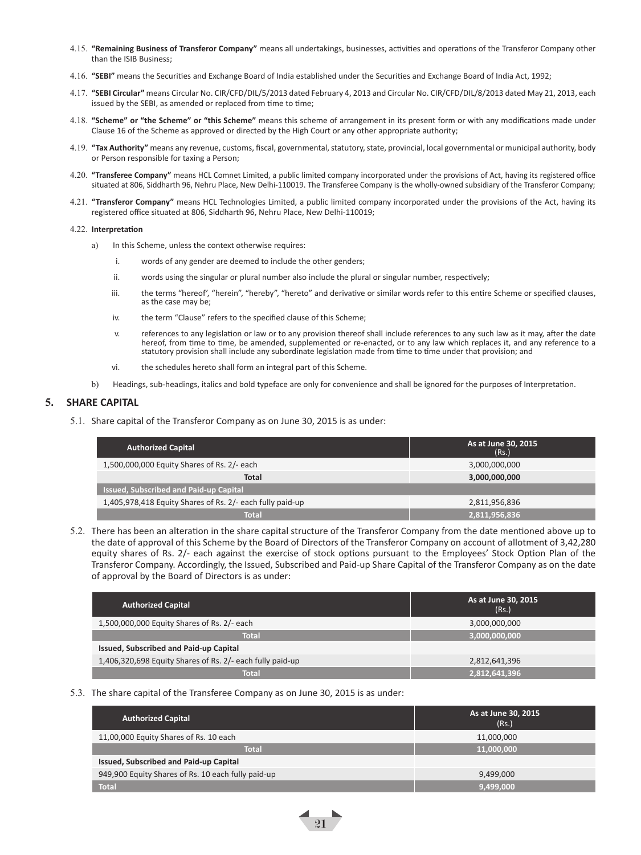- 4.15. **"Remaining Business of Transferor Company"** means all undertakings, businesses, activities and operations of the Transferor Company other than the ISIB Business;
- 4.16. **"SEBI"** means the Securities and Exchange Board of India established under the Securities and Exchange Board of India Act, 1992;
- 4.17. **"SEBI Circular"** means Circular No. CIR/CFD/DIL/5/2013 dated February 4, 2013 and Circular No. CIR/CFD/DIL/8/2013 dated May 21, 2013, each issued by the SEBI, as amended or replaced from time to time;
- 4.18. **"Scheme" or "the Scheme" or "this Scheme"** means this scheme of arrangement in its present form or with any modifications made under Clause 16 of the Scheme as approved or directed by the High Court or any other appropriate authority;
- 4.19. **"Tax Authority"** means any revenue, customs, fiscal, governmental, statutory, state, provincial, local governmental or municipal authority, body or Person responsible for taxing a Person;
- 4.20. **"Transferee Company"** means HCL Comnet Limited, a public limited company incorporated under the provisions of Act, having its registered office situated at 806, Siddharth 96, Nehru Place, New Delhi-110019. The Transferee Company is the wholly-owned subsidiary of the Transferor Company;
- 4.21. **"Transferor Company"** means HCL Technologies Limited, a public limited company incorporated under the provisions of the Act, having its registered office situated at 806, Siddharth 96, Nehru Place, New Delhi-110019;

#### 4.22. **Interpretation**

- a) In this Scheme, unless the context otherwise requires:
	- i. words of any gender are deemed to include the other genders;
	- ii. words using the singular or plural number also include the plural or singular number, respectively;
	- iii. the terms "hereof', "herein", "hereby", "hereto" and derivative or similar words refer to this entire Scheme or specified clauses, as the case may be;
	- iv. the term "Clause" refers to the specified clause of this Scheme;
	- v. references to any legislation or law or to any provision thereof shall include references to any such law as it may, after the date hereof, from time to time, be amended, supplemented or re-enacted, or to any law which replaces it, and any reference to a<br>statutory provision shall include any subordinate legislation made from time to time under that pro
	- vi. the schedules hereto shall form an integral part of this Scheme.
- b) Headings, sub-headings, italics and bold typeface are only for convenience and shall be ignored for the purposes of Interpretation.

#### **5. SHARE CAPITAL**

5.1. Share capital of the Transferor Company as on June 30, 2015 is as under:

| <b>Authorized Capital</b>                                 | As at June 30, 2015<br>(Rs. |
|-----------------------------------------------------------|-----------------------------|
| 1,500,000,000 Equity Shares of Rs. 2/- each               | 3,000,000,000               |
| <b>Total</b>                                              | 3,000,000,000               |
| <b>Issued, Subscribed and Paid-up Capital</b>             |                             |
| 1,405,978,418 Equity Shares of Rs. 2/- each fully paid-up | 2,811,956,836               |
| <b>Total</b>                                              | 2,811,956,836               |

5.2. There has been an alteration in the share capital structure of the Transferor Company from the date mentioned above up to the date of approval of this Scheme by the Board of Directors of the Transferor Company on account of allotment of 3,42,280 equity shares of Rs. 2/- each against the exercise of stock options pursuant to the Employees' Stock Option Plan of the Transferor Company. Accordingly, the Issued, Subscribed and Paid-up Share Capital of the Transferor Company as on the date of approval by the Board of Directors is as under:

| <b>Authorized Capital</b>                                 | As at June 30, 2015<br>(Rs.) |
|-----------------------------------------------------------|------------------------------|
| 1,500,000,000 Equity Shares of Rs. 2/- each               | 3,000,000,000                |
| <b>Total</b>                                              | 3,000,000,000                |
| Issued, Subscribed and Paid-up Capital                    |                              |
| 1,406,320,698 Equity Shares of Rs. 2/- each fully paid-up | 2,812,641,396                |
| <b>Total</b>                                              | 2,812,641,396                |

#### 5.3. The share capital of the Transferee Company as on June 30, 2015 is as under:

| <b>Authorized Capital</b>                          | As at June 30, 2015<br>(Rs.) |
|----------------------------------------------------|------------------------------|
| 11,00,000 Equity Shares of Rs. 10 each             | 11,000,000                   |
| <b>Total</b>                                       | 11,000,000                   |
| Issued, Subscribed and Paid-up Capital             |                              |
| 949,900 Equity Shares of Rs. 10 each fully paid-up | 9,499,000                    |
| <b>Total</b>                                       | 9,499,000                    |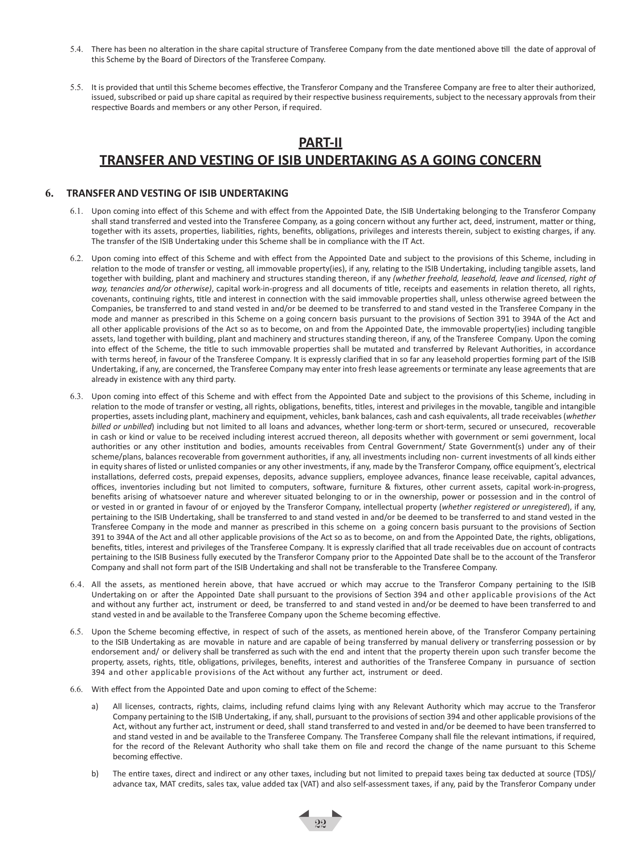- 5.4. There has been no alteration in the share capital structure of Transferee Company from the date mentioned above till the date of approval of this Scheme by the Board of Directors of the Transferee Company.
- 5.5. It is provided that until this Scheme becomes effective, the Transferor Company and the Transferee Company are free to alter their authorized, issued, subscribed or paid up share capital as required by their respective business requirements, subject to the necessary approvals from their respective Boards and members or any other Person, if required.

## **PART-II TRANSFER AND VESTING OF ISIB UNDERTAKING AS A GOING CONCERN**

#### **6. TRANSFER AND VESTING OF ISIB UNDERTAKING**

- 6.1. Upon coming into effect of this Scheme and with effect from the Appointed Date, the ISIB Undertaking belonging to the Transferor Company shall stand transferred and vested into the Transferee Company, as a going concern without any further act, deed, instrument, matter or thing, together with its assets, properties, liabilities, rights, benefits, obligations, privileges and interests therein, subject to existing charges, if any. The transfer of the ISIB Undertaking under this Scheme shall be in compliance with the IT Act.
- 6.2. Upon coming into effect of this Scheme and with effect from the Appointed Date and subject to the provisions of this Scheme, including in relation to the mode of transfer or vesting, all immovable property(ies), if any, relating to the ISIB Undertaking, including tangible assets, land together with building, plant and machinery and structures standing thereon, if any *(whether freehold, leasehold, leave and licensed, right of way, tenancies and/or otherwise)*, capital work-in-progress and all documents of title, receipts and easements in relation thereto, all rights, covenants, continuing rights, title and interest in connection with the said immovable properties shall, unless otherwise agreed between the Companies, be transferred to and stand vested in and/or be deemed to be transferred to and stand vested in the Transferee Company in the mode and manner as prescribed in this Scheme on a going concern basis pursuant to the provisions of Section 391 to 394A of the Act and all other applicable provisions of the Act so as to become, on and from the Appointed Date, the immovable property(ies) including tangible assets, land together with building, plant and machinery and structures standing thereon, if any, of the Transferee Company. Upon the coming into effect of the Scheme, the title to such immovable properties shall be mutated and transferred by Relevant Authorities, in accordance with terms hereof, in favour of the Transferee Company. It is expressly clarified that in so far any leasehold properties forming part of the ISIB Undertaking, if any, are concerned, the Transferee Company may enter into fresh lease agreements or terminate any lease agreements that are already in existence with any third party.
- 6.3. Upon coming into effect of this Scheme and with effect from the Appointed Date and subject to the provisions of this Scheme, including in relation to the mode of transfer or vesting, all rights, obligations, benefits, titles, interest and privileges in the movable, tangible and intangible properties, assets including plant, machinery and equipment, vehicles, bank balances, cash and cash equivalents, all trade receivables (*whether billed or unbilled*) including but not limited to all loans and advances, whether long-term or short-term, secured or unsecured, recoverable in cash or kind or value to be received including interest accrued thereon, all deposits whether with government or semi government, local authorities or any other institution and bodies, amounts receivables from Central Government/ State Government(s) under any of their scheme/plans, balances recoverable from government authorities, if any, all investments including non- current investments of all kinds either in equity shares of listed or unlisted companies or any other investments, if any, made by the Transferor Company, office equipment's, electrical installations, deferred costs, prepaid expenses, deposits, advance suppliers, employee advances, finance lease receivable, capital advances, offices, inventories including but not limited to computers, software, furniture & fixtures, other current assets, capital work-in-progress, benefits arising of whatsoever nature and wherever situated belonging to or in the ownership, power or possession and in the control of or vested in or granted in favour of or enjoyed by the Transferor Company, intellectual property (*whether registered or unregistered*), if any, pertaining to the ISIB Undertaking, shall be transferred to and stand vested in and/or be deemed to be transferred to and stand vested in the Transferee Company in the mode and manner as prescribed in this scheme on a going concern basis pursuant to the provisions of Section 391 to 394A of the Act and all other applicable provisions of the Act so as to become, on and from the Appointed Date, the rights, obligations, benefits, titles, interest and privileges of the Transferee Company. It is expressly clarified that all trade receivables due on account of contracts pertaining to the ISIB Business fully executed by the Transferor Company prior to the Appointed Date shall be to the account of the Transferor Company and shall not form part of the ISIB Undertaking and shall not be transferable to the Transferee Company.
- 6.4. All the assets, as mentioned herein above, that have accrued or which may accrue to the Transferor Company pertaining to the ISIB Undertaking on or after the Appointed Date shall pursuant to the provisions of Section 394 and other applicable provisions of the Act and without any further act, instrument or deed, be transferred to and stand vested in and/or be deemed to have been transferred to and stand vested in and be available to the Transferee Company upon the Scheme becoming effective.
- 6.5. Upon the Scheme becoming effective, in respect of such of the assets, as mentioned herein above, of the Transferor Company pertaining to the ISIB Undertaking as are movable in nature and are capable of being transferred by manual delivery or transferring possession or by endorsement and/ or delivery shall be transferred as such with the end and intent that the property therein upon such transfer become the property, assets, rights, title, obligations, privileges, benefits, interest and authorities of the Transferee Company in pursuance of section 394 and other applicable provisions of the Act without any further act, instrument or deed.
- 6.6. With effect from the Appointed Date and upon coming to effect of the Scheme:
	- a) All licenses, contracts, rights, claims, including refund claims lying with any Relevant Authority which may accrue to the Transferor Company pertaining to the ISIB Undertaking, if any, shall, pursuant to the provisions of section 394 and other applicable provisions of the Act, without any further act, instrument or deed, shall stand transferred to and vested in and/or be deemed to have been transferred to and stand vested in and be available to the Transferee Company. The Transferee Company shall file the relevant intimations, if required, for the record of the Relevant Authority who shall take them on file and record the change of the name pursuant to this Scheme becoming effective.
	- b) The entire taxes, direct and indirect or any other taxes, including but not limited to prepaid taxes being tax deducted at source (TDS)/ advance tax, MAT credits, sales tax, value added tax (VAT) and also self-assessment taxes, if any, paid by the Transferor Company under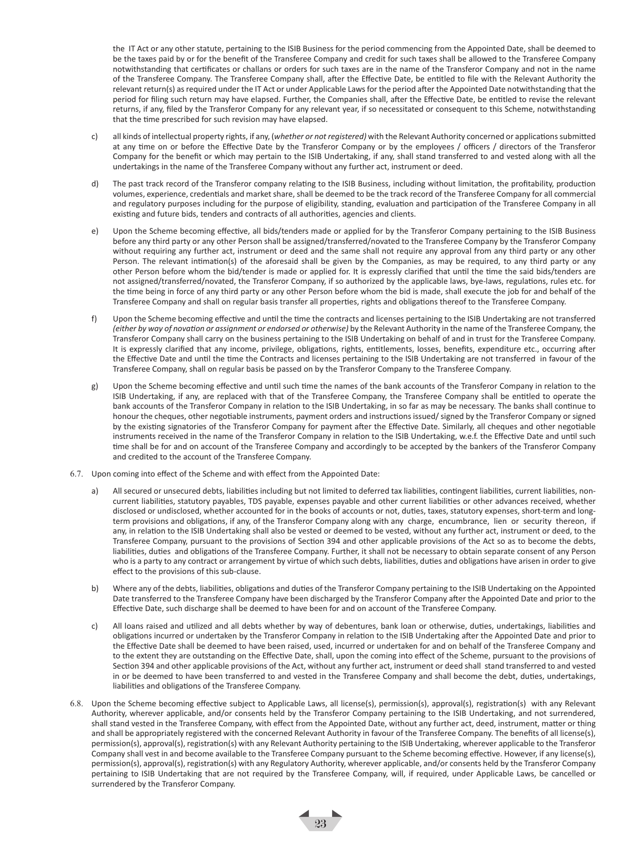the IT Act or any other statute, pertaining to the ISIB Business for the period commencing from the Appointed Date, shall be deemed to be the taxes paid by or for the benefit of the Transferee Company and credit for such taxes shall be allowed to the Transferee Company notwithstanding that certificates or challans or orders for such taxes are in the name of the Transferor Company and not in the name of the Transferee Company. The Transferee Company shall, after the Effective Date, be entitled to file with the Relevant Authority the relevant return(s) as required under the IT Act or under Applicable Laws for the period after the Appointed Date notwithstanding that the period for filing such return may have elapsed. Further, the Companies shall, after the Effective Date, be entitled to revise the relevant returns, if any, filed by the Transferor Company for any relevant year, if so necessitated or consequent to this Scheme, notwithstanding that the time prescribed for such revision may have elapsed.

- c) all kinds of intellectual property rights, if any, (*whether or not registered)* with the Relevant Authority concerned or applications submitted at any time on or before the Effective Date by the Transferor Company or by the employees / officers / directors of the Transferor Company for the benefit or which may pertain to the ISIB Undertaking, if any, shall stand transferred to and vested along with all the undertakings in the name of the Transferee Company without any further act, instrument or deed.
- d) The past track record of the Transferor company relating to the ISIB Business, including without limitation, the profitability, production volumes, experience, credentials and market share, shall be deemed to be the track record of the Transferee Company for all commercial and regulatory purposes including for the purpose of eligibility, standing, evaluation and participation of the Transferee Company in all existing and future bids, tenders and contracts of all authorities, agencies and clients.
- e) Upon the Scheme becoming effective, all bids/tenders made or applied for by the Transferor Company pertaining to the ISIB Business before any third party or any other Person shall be assigned/transferred/novated to the Transferee Company by the Transferor Company without requiring any further act, instrument or deed and the same shall not require any approval from any third party or any other Person. The relevant intimation(s) of the aforesaid shall be given by the Companies, as may be required, to any third party or any other Person before whom the bid/tender is made or applied for. It is expressly clarified that until the time the said bids/tenders are not assigned/transferred/novated, the Transferor Company, if so authorized by the applicable laws, bye-laws, regulations, rules etc. for the time being in force of any third party or any other Person before whom the bid is made, shall execute the job for and behalf of the Transferee Company and shall on regular basis transfer all properties, rights and obligations thereof to the Transferee Company.
- f) Upon the Scheme becoming effective and until the time the contracts and licenses pertaining to the ISIB Undertaking are not transferred *(either by way of novation or assignment or endorsed or otherwise)* by the Relevant Authority in the name of the Transferee Company, the Transferor Company shall carry on the business pertaining to the ISIB Undertaking on behalf of and in trust for the Transferee Company. It is expressly clarified that any income, privilege, obligations, rights, entitlements, losses, benefits, expenditure etc., occurring after the Effective Date and until the time the Contracts and licenses pertaining to the ISIB Undertaking are not transferred in favour of the Transferee Company, shall on regular basis be passed on by the Transferor Company to the Transferee Company.
- g) Upon the Scheme becoming effective and until such time the names of the bank accounts of the Transferor Company in relation to the ISIB Undertaking, if any, are replaced with that of the Transferee Company, the Transferee Company shall be entitled to operate the bank accounts of the Transferor Company in relation to the ISIB Undertaking, in so far as may be necessary. The banks shall continue to honour the cheques, other negotiable instruments, payment orders and instructions issued/ signed by the Transferor Company or signed by the existing signatories of the Transferor Company for payment after the Effective Date. Similarly, all cheques and other negotiable instruments received in the name of the Transferor Company in relation to the ISIB Undertaking, w.e.f. the Effective Date and until such time shall be for and on account of the Transferee Company and accordingly to be accepted by the bankers of the Transferor Company and credited to the account of the Transferee Company.
- 6.7. Upon coming into effect of the Scheme and with effect from the Appointed Date:
	- a) All secured or unsecured debts, liabilities including but not limited to deferred tax liabilities, contingent liabilities, current liabilities, noncurrent liabilities, statutory payables, TDS payable, expenses payable and other current liabilities or other advances received, whether disclosed or undisclosed, whether accounted for in the books of accounts or not, duties, taxes, statutory expenses, short-term and longterm provisions and obligations, if any, of the Transferor Company along with any charge, encumbrance, lien or security thereon, if any, in relation to the ISIB Undertaking shall also be vested or deemed to be vested, without any further act, instrument or deed, to the Transferee Company, pursuant to the provisions of Section 394 and other applicable provisions of the Act so as to become the debts, liabilities, duties and obligations of the Transferee Company. Further, it shall not be necessary to obtain separate consent of any Person who is a party to any contract or arrangement by virtue of which such debts, liabilities, duties and obligations have arisen in order to give effect to the provisions of this sub-clause.
	- b) Where any of the debts, liabilities, obligations and duties of the Transferor Company pertaining to the ISIB Undertaking on the Appointed Date transferred to the Transferee Company have been discharged by the Transferor Company after the Appointed Date and prior to the Effective Date, such discharge shall be deemed to have been for and on account of the Transferee Company.
	- c) All loans raised and utilized and all debts whether by way of debentures, bank loan or otherwise, duties, undertakings, liabilities and obligations incurred or undertaken by the Transferor Company in relation to the ISIB Undertaking after the Appointed Date and prior to the Effective Date shall be deemed to have been raised, used, incurred or undertaken for and on behalf of the Transferee Company and to the extent they are outstanding on the Effective Date, shall, upon the coming into effect of the Scheme, pursuant to the provisions of Section 394 and other applicable provisions of the Act, without any further act, instrument or deed shall stand transferred to and vested in or be deemed to have been transferred to and vested in the Transferee Company and shall become the debt, duties, undertakings, liabilities and obligations of the Transferee Company.
- 6.8. Upon the Scheme becoming effective subject to Applicable Laws, all license(s), permission(s), approval(s), registration(s) with any Relevant Authority, wherever applicable, and/or consents held by the Transferor Company pertaining to the ISIB Undertaking, and not surrendered, shall stand vested in the Transferee Company, with effect from the Appointed Date, without any further act, deed, instrument, matter or thing and shall be appropriately registered with the concerned Relevant Authority in favour of the Transferee Company. The benefits of all license(s), permission(s), approval(s), registration(s) with any Relevant Authority pertaining to the ISIB Undertaking, wherever applicable to the Transferor Company shall vest in and become available to the Transferee Company pursuant to the Scheme becoming effective. However, if any license(s), permission(s), approval(s), registration(s) with any Regulatory Authority, wherever applicable, and/or consents held by the Transferor Company pertaining to ISIB Undertaking that are not required by the Transferee Company, will, if required, under Applicable Laws, be cancelled or surrendered by the Transferor Company.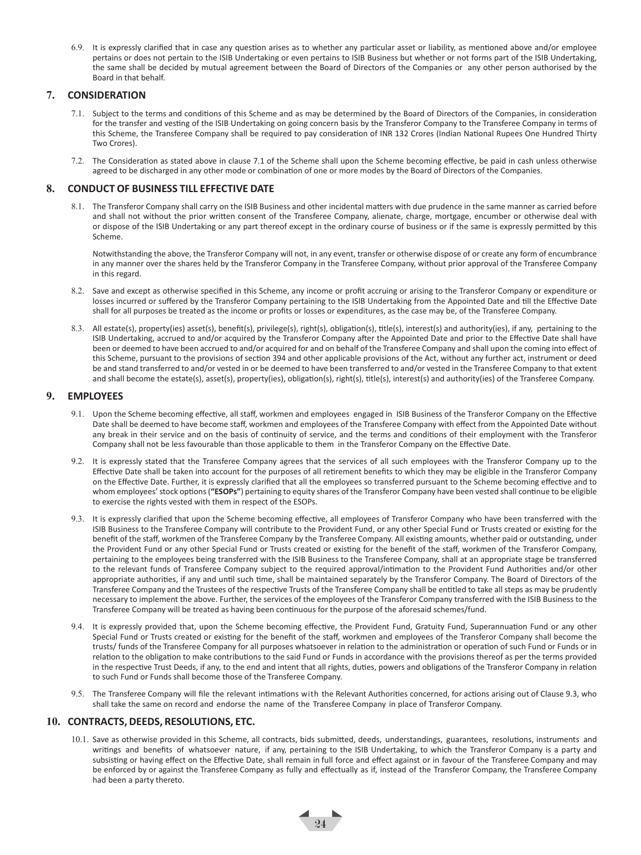6.9. It is expressly clarified that in case any question arises as to whether any particular asset or liability, as mentioned above and/or employee pertains or does not pertain to the ISIB Undertaking or even pertains to ISIB Business but whether or not forms part of the ISIB Undertaking, the same shall be decided by mutual agreement between the Board of Directors of the Companies or any other person authorised by the Board in that behalf.

#### **7. CONSIDERATION**

- 7.1. Subject to the terms and conditions of this Scheme and as may be determined by the Board of Directors of the Companies, in consideration for the transfer and vesting of the ISIB Undertaking on going concern basis by the Transferor Company to the Transferee Company in terms of this Scheme, the Transferee Company shall be required to pay consideration of INR 132 Crores (Indian National Rupees One Hundred Thirty Two Crores).
- 7.2. The Consideration as stated above in clause 7.1 of the Scheme shall upon the Scheme becoming effective, be paid in cash unless otherwise agreed to be discharged in any other mode or combination of one or more modes by the Board of Directors of the Companies.

#### **8. CONDUCT OF BUSINESS TILL EFFECTIVE DATE**

8.1. The Transferor Company shall carry on the ISIB Business and other incidental matters with due prudence in the same manner as carried before and shall not without the prior written consent of the Transferee Company, alienate, charge, mortgage, encumber or otherwise deal with or dispose of the ISIB Undertaking or any part thereof except in the ordinary course of business or if the same is expressly permitted by this Scheme.

Notwithstanding the above, the Transferor Company will not, in any event, transfer or otherwise dispose of or create any form of encumbrance in any manner over the shares held by the Transferor Company in the Transferee Company, without prior approval of the Transferee Company in this regard.

- 8.2. Save and except as otherwise specified in this Scheme, any income or profit accruing or arising to the Transferor Company or expenditure or losses incurred or suffered by the Transferor Company pertaining to the ISIB Undertaking from the Appointed Date and till the Effective Date shall for all purposes be treated as the income or profits or losses or expenditures, as the case may be, of the Transferee Company.
- 8.3. All estate(s), property(ies) asset(s), benefit(s), privilege(s), right(s), obligation(s), title(s), interest(s) and authority(ies), if any, pertaining to the ISIB Undertaking, accrued to and/or acquired by the Transferor Company after the Appointed Date and prior to the Effective Date shall have been or deemed to have been accrued to and/or acquired for and on behalf of the Transferee Company and shall upon the coming into effect of this Scheme, pursuant to the provisions of section 394 and other applicable provisions of the Act, without any further act, instrument or deed be and stand transferred to and/or vested in or be deemed to have been transferred to and/or vested in the Transferee Company to that extent and shall become the estate(s), asset(s), property(ies), obligation(s), right(s), title(s), interest(s) and authority(ies) of the Transferee Company.

#### **9. EMPLOYEES**

- 9.1. Upon the Scheme becoming effective, all staff, workmen and employees engaged in ISIB Business of the Transferor Company on the Effective Date shall be deemed to have become staff, workmen and employees of the Transferee Company with effect from the Appointed Date without any break in their service and on the basis of continuity of service, and the terms and conditions of their employment with the Transferor Company shall not be less favourable than those applicable to them in the Transferor Company on the Effective Date.
- 9.2. It is expressly stated that the Transferee Company agrees that the services of all such employees with the Transferor Company up to the Effective Date shall be taken into account for the purposes of all retirement benefits to which they may be eligible in the Transferor Company on the Effective Date. Further, it is expressly clarified that all the employees so transferred pursuant to the Scheme becoming effective and to whom employees' stock options (**"ESOPs"**) pertaining to equity shares of the Transferor Company have been vested shall continue to be eligible to exercise the rights vested with them in respect of the ESOPs.
- 9.3. It is expressly clarified that upon the Scheme becoming effective, all employees of Transferor Company who have been transferred with the ISIB Business to the Transferee Company will contribute to the Provident Fund, or any other Special Fund or Trusts created or existing for the benefit of the staff, workmen of the Transferee Company by the Transferee Company. All existing amounts, whether paid or outstanding, under the Provident Fund or any other Special Fund or Trusts created or existing for the benefit of the staff, workmen of the Transferor Company, pertaining to the employees being transferred with the ISIB Business to the Transferee Company, shall at an appropriate stage be transferred to the relevant funds of Transferee Company subject to the required approval/intimation to the Provident Fund Authorities and/or other appropriate authorities, if any and until such time, shall be maintained separately by the Transferor Company. The Board of Directors of the Transferee Company and the Trustees of the respective Trusts of the Transferee Company shall be entitled to take all steps as may be prudently necessary to implement the above. Further, the services of the employees of the Transferor Company transferred with the ISIB Business to the Transferee Company will be treated as having been continuous for the purpose of the aforesaid schemes/fund.
- 9.4. It is expressly provided that, upon the Scheme becoming effective, the Provident Fund, Gratuity Fund, Superannuation Fund or any other Special Fund or Trusts created or existing for the benefit of the staff, workmen and employees of the Transferor Company shall become the trusts/ funds of the Transferee Company for all purposes whatsoever in relation to the administration or operation of such Fund or Funds or in relation to the obligation to make contributions to the said Fund or Funds in accordance with the provisions thereof as per the terms provided in the respective Trust Deeds, if any, to the end and intent that all rights, duties, powers and obligations of the Transferor Company in relation to such Fund or Funds shall become those of the Transferee Company.
- 9.5. The Transferee Company will file the relevant intimations with the Relevant Authorities concerned, for actions arising out of Clause 9.3, who shall take the same on record and endorse the name of the Transferee Company in place of Transferor Company.

#### **10. CONTRACTS, DEEDS, RESOLUTIONS, ETC.**

10.1. Save as otherwise provided in this Scheme, all contracts, bids submitted, deeds, understandings, guarantees, resolutions, instruments and writings and benefits of whatsoever nature, if any, pertaining to the ISIB Undertaking, to which the Transferor Company is a party and subsisting or having effect on the Effective Date, shall remain in full force and effect against or in favour of the Transferee Company and may be enforced by or against the Transferee Company as fully and effectually as if, instead of the Transferor Company, the Transferee Company had been a party thereto.

 $\frac{1}{24}$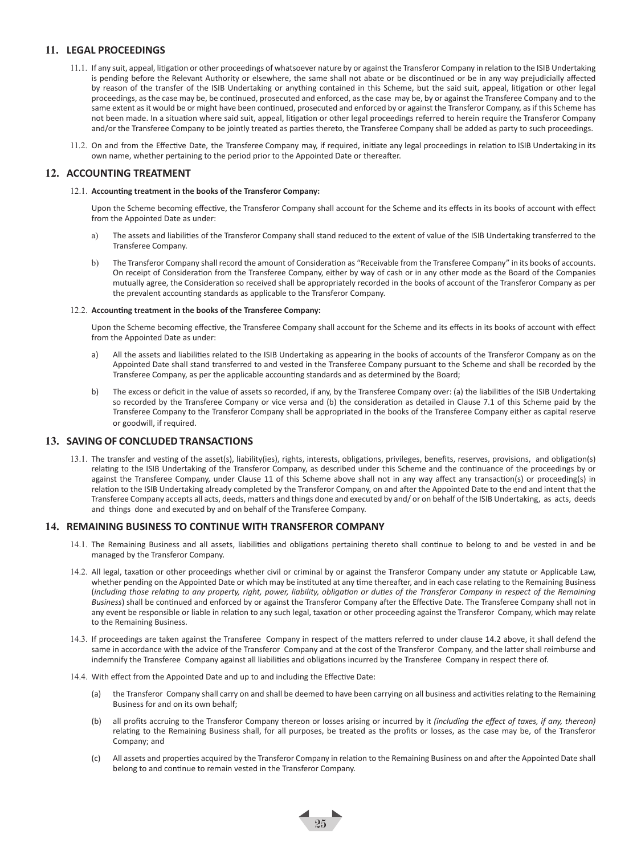#### **11. LEGAL PROCEEDINGS**

- 11.1. If any suit, appeal, litigation or other proceedings of whatsoever nature by or against the Transferor Company in relation to the ISIB Undertaking is pending before the Relevant Authority or elsewhere, the same shall not abate or be discontinued or be in any way prejudicially affected by reason of the transfer of the ISIB Undertaking or anything contained in this Scheme, but the said suit, appeal, litigation or other legal proceedings, as the case may be, be continued, prosecuted and enforced, as the case may be, by or against the Transferee Company and to the same extent as it would be or might have been continued, prosecuted and enforced by or against the Transferor Company, as if this Scheme has not been made. In a situation where said suit, appeal, litigation or other legal proceedings referred to herein require the Transferor Company and/or the Transferee Company to be jointly treated as parties thereto, the Transferee Company shall be added as party to such proceedings.
- 11.2. On and from the Effective Date, the Transferee Company may, if required, initiate any legal proceedings in relation to ISIB Undertaking in its own name, whether pertaining to the period prior to the Appointed Date or thereafter.

#### **12. ACCOUNTING TREATMENT**

12.1. **Accounting treatment in the books of the Transferor Company:**

Upon the Scheme becoming effective, the Transferor Company shall account for the Scheme and its effects in its books of account with effect from the Appointed Date as under:

- a) The assets and liabilities of the Transferor Company shall stand reduced to the extent of value of the ISIB Undertaking transferred to the Transferee Company.
- b) The Transferor Company shall record the amount of Consideration as "Receivable from the Transferee Company" in its books of accounts. On receipt of Consideration from the Transferee Company, either by way of cash or in any other mode as the Board of the Companies mutually agree, the Consideration so received shall be appropriately recorded in the books of account of the Transferor Company as per the prevalent accounting standards as applicable to the Transferor Company.

#### 12.2. **Accounting treatment in the books of the Transferee Company:**

Upon the Scheme becoming effective, the Transferee Company shall account for the Scheme and its effects in its books of account with effect from the Appointed Date as under:

- a) All the assets and liabilities related to the ISIB Undertaking as appearing in the books of accounts of the Transferor Company as on the Appointed Date shall stand transferred to and vested in the Transferee Company pursuant to the Scheme and shall be recorded by the Transferee Company, as per the applicable accounting standards and as determined by the Board;
- b) The excess or deficit in the value of assets so recorded, if any, by the Transferee Company over: (a) the liabilities of the ISIB Undertaking so recorded by the Transferee Company or vice versa and (b) the consideration as detailed in Clause 7.1 of this Scheme paid by the Transferee Company to the Transferor Company shall be appropriated in the books of the Transferee Company either as capital reserve or goodwill, if required.

#### **13. SAVING OF CONCLUDED TRANSACTIONS**

13.1. The transfer and vesting of the asset(s), liability(ies), rights, interests, obligations, privileges, benefits, reserves, provisions, and obligation(s) relating to the ISIB Undertaking of the Transferor Company, as described under this Scheme and the continuance of the proceedings by or against the Transferee Company, under Clause 11 of this Scheme above shall not in any way affect any transaction(s) or proceeding(s) in relation to the ISIB Undertaking already completed by the Transferor Company, on and after the Appointed Date to the end and intent that the Transferee Company accepts all acts, deeds, matters and things done and executed by and/ or on behalf of the ISIB Undertaking, as acts, deeds and things done and executed by and on behalf of the Transferee Company.

#### **14. REMAINING BUSINESS TO CONTINUE WITH TRANSFEROR COMPANY**

- 14.1. The Remaining Business and all assets, liabilities and obligations pertaining thereto shall continue to belong to and be vested in and be managed by the Transferor Company.
- 14.2. All legal, taxation or other proceedings whether civil or criminal by or against the Transferor Company under any statute or Applicable Law, whether pending on the Appointed Date or which may be instituted at any time thereafter, and in each case relating to the Remaining Business (*including those relating to any property, right, power, liability, obligation or duties of the Transferor Company in respect of the Remaining Business*) shall be continued and enforced by or against the Transferor Company after the Effective Date. The Transferee Company shall not in any event be responsible or liable in relation to any such legal, taxation or other proceeding against the Transferor Company, which may relate to the Remaining Business.
- 14.3. If proceedings are taken against the Transferee Company in respect of the matters referred to under clause 14.2 above, it shall defend the same in accordance with the advice of the Transferor Company and at the cost of the Transferor Company, and the latter shall reimburse and indemnify the Transferee Company against all liabilities and obligations incurred by the Transferee Company in respect there of.
- 14.4. With effect from the Appointed Date and up to and including the Effective Date:
	- (a) the Transferor Company shall carry on and shall be deemed to have been carrying on all business and activities relating to the Remaining Business for and on its own behalf;
	- (b) all profits accruing to the Transferor Company thereon or losses arising or incurred by it *(including the effect of taxes, if any, thereon)* relating to the Remaining Business shall, for all purposes, be treated as the profits or losses, as the case may be, of the Transferor Company; and
	- (c) All assets and properties acquired by the Transferor Company in relation to the Remaining Business on and after the Appointed Date shall belong to and continue to remain vested in the Transferor Company.

 $\frac{1}{25}$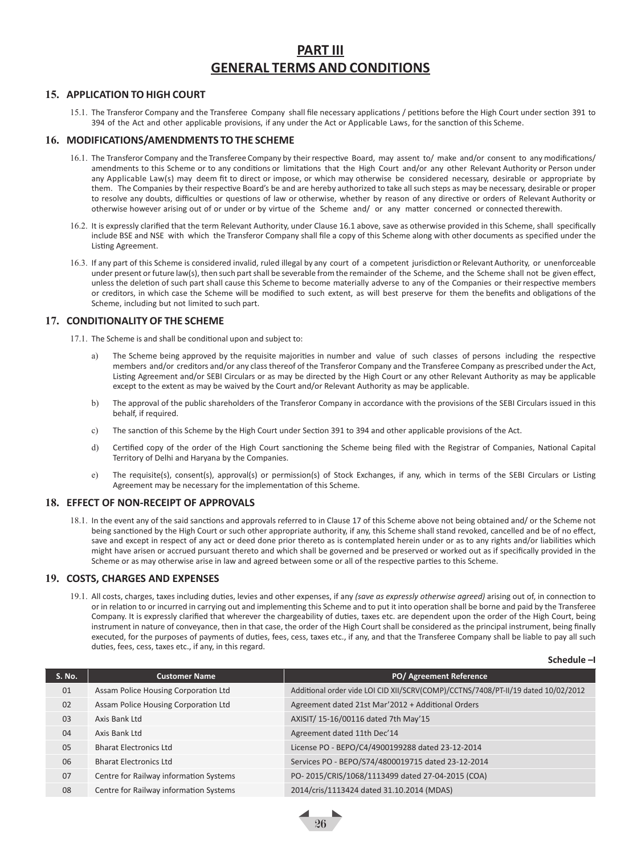## **PART III GENERAL TERMS AND CONDITIONS**

#### **15. APPLICATION TO HIGH COURT**

15.1. The Transferor Company and the Transferee Company shall file necessary applications / petitions before the High Court under section 391 to 394 of the Act and other applicable provisions, if any under the Act or Applicable Laws, for the sanction of this Scheme.

#### **16. MODIFICATIONS/AMENDMENTS TO THE SCHEME**

- 16.1. The Transferor Company and the Transferee Company by theirrespective Board, may assent to/ make and/or consent to any modifications/ amendments to this Scheme or to any conditions or limitations that the High Court and/or any other Relevant Authority or Person under any Applicable Law(s) may deem fit to direct or impose, or which may otherwise be considered necessary, desirable or appropriate by them. The Companies by their respective Board's be and are hereby authorized to take all such steps as may be necessary, desirable or proper to resolve any doubts, difficulties or questions of law or otherwise, whether by reason of any directive or orders of Relevant Authority or otherwise however arising out of or under or by virtue of the Scheme and/ or any matter concerned or connected therewith.
- 16.2. It is expressly clarified that the term Relevant Authority, under Clause 16.1 above, save as otherwise provided in this Scheme, shall specifically include BSE and NSE with which the Transferor Company shall file a copy of this Scheme along with other documents as specified under the Listing Agreement.
- 16.3. If any part of this Scheme is considered invalid, ruled illegal by any court of a competent jurisdiction or Relevant Authority, or unenforceable under present or future law(s), then such part shall be severable from the remainder of the Scheme, and the Scheme shall not be given effect, unless the deletion of such part shall cause this Scheme to become materially adverse to any of the Companies or their respective members or creditors, in which case the Scheme will be modified to such extent, as will best preserve for them the benefits and obligations of the Scheme, including but not limited to such part.

#### **17. CONDITIONALITY OF THE SCHEME**

17.1. The Scheme is and shall be conditional upon and subject to:

- The Scheme being approved by the requisite majorities in number and value of such classes of persons including the respective members and/or creditors and/or any class thereof of the Transferor Company and the Transferee Company as prescribed under the Act, Listing Agreement and/or SEBI Circulars or as may be directed by the High Court or any other Relevant Authority as may be applicable except to the extent as may be waived by the Court and/or Relevant Authority as may be applicable.
- b) The approval of the public shareholders of the Transferor Company in accordance with the provisions of the SEBI Circulars issued in this behalf, if required.
- c) The sanction of this Scheme by the High Court under Section 391 to 394 and other applicable provisions of the Act.
- d) Certified copy of the order of the High Court sanctioning the Scheme being filed with the Registrar of Companies, National Capital Territory of Delhi and Haryana by the Companies.
- e) The requisite(s), consent(s), approval(s) or permission(s) of Stock Exchanges, if any, which in terms of the SEBI Circulars or Listing Agreement may be necessary for the implementation of this Scheme.

#### **18. EFFECT OF NON-RECEIPT OF APPROVALS**

18.1. In the event any of the said sanctions and approvals referred to in Clause 17 of this Scheme above not being obtained and/ or the Scheme not being sanctioned by the High Court or such other appropriate authority, if any, this Scheme shall stand revoked, cancelled and be of no effect, save and except in respect of any act or deed done prior thereto as is contemplated herein under or as to any rights and/or liabilities which might have arisen or accrued pursuant thereto and which shall be governed and be preserved or worked out as if specifically provided in the Scheme or as may otherwise arise in law and agreed between some or all of the respective parties to this Scheme.

#### **19. COSTS, CHARGES AND EXPENSES**

19.1. All costs, charges, taxes including duties, levies and other expenses, if any *(save as expressly otherwise agreed)* arising out of, in connection to or in relation to or incurred in carrying out and implementing this Scheme and to put it into operation shall be borne and paid by the Transferee Company. It is expressly clarified that wherever the chargeability of duties, taxes etc. are dependent upon the order of the High Court, being instrument in nature of conveyance, then in that case, the order of the High Court shall be considered as the principal instrument, being finally executed, for the purposes of payments of duties, fees, cess, taxes etc., if any, and that the Transferee Company shall be liable to pay all such duties, fees, cess, taxes etc., if any, in this regard.

**Schedule –I**

| S. No. | <b>Customer Name</b>                   | PO/ Agreement Reference                                                           |
|--------|----------------------------------------|-----------------------------------------------------------------------------------|
| 01     | Assam Police Housing Corporation Ltd   | Additional order vide LOI CID XII/SCRV(COMP)/CCTNS/7408/PT-II/19 dated 10/02/2012 |
| 02     | Assam Police Housing Corporation Ltd   | Agreement dated 21st Mar'2012 + Additional Orders                                 |
| 03     | Axis Bank Ltd                          | AXISIT/ 15-16/00116 dated 7th May'15                                              |
| 04     | Axis Bank Ltd                          | Agreement dated 11th Dec'14                                                       |
| 05     | <b>Bharat Electronics Ltd</b>          | License PO - BEPO/C4/4900199288 dated 23-12-2014                                  |
| 06     | <b>Bharat Electronics Ltd</b>          | Services PO - BEPO/S74/4800019715 dated 23-12-2014                                |
| 07     | Centre for Railway information Systems | PO-2015/CRIS/1068/1113499 dated 27-04-2015 (COA)                                  |
| 08     | Centre for Railway information Systems | 2014/cris/1113424 dated 31.10.2014 (MDAS)                                         |

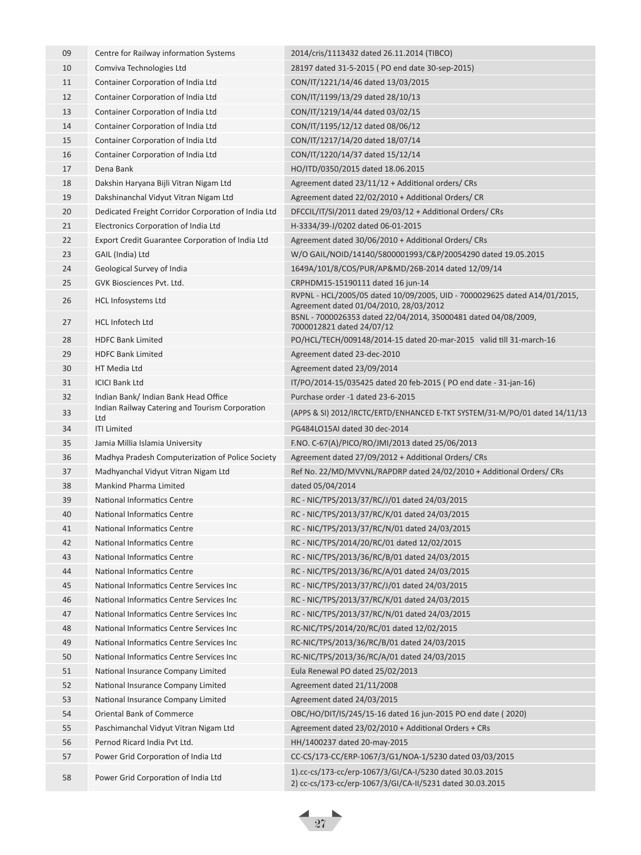| 09 | Centre for Railway information Systems              | 2014/cris/1113432 dated 26.11.2014 (TIBCO)                                                                            |
|----|-----------------------------------------------------|-----------------------------------------------------------------------------------------------------------------------|
| 10 | Comviva Technologies Ltd                            | 28197 dated 31-5-2015 (PO end date 30-sep-2015)                                                                       |
| 11 | Container Corporation of India Ltd                  | CON/IT/1221/14/46 dated 13/03/2015                                                                                    |
| 12 | Container Corporation of India Ltd                  | CON/IT/1199/13/29 dated 28/10/13                                                                                      |
| 13 | Container Corporation of India Ltd                  | CON/IT/1219/14/44 dated 03/02/15                                                                                      |
| 14 | Container Corporation of India Ltd                  | CON/IT/1195/12/12 dated 08/06/12                                                                                      |
| 15 | Container Corporation of India Ltd                  | CON/IT/1217/14/20 dated 18/07/14                                                                                      |
| 16 | Container Corporation of India Ltd                  | CON/IT/1220/14/37 dated 15/12/14                                                                                      |
| 17 | Dena Bank                                           | HO/ITD/0350/2015 dated 18.06.2015                                                                                     |
| 18 | Dakshin Haryana Bijli Vitran Nigam Ltd              | Agreement dated 23/11/12 + Additional orders/ CRs                                                                     |
| 19 | Dakshinanchal Vidyut Vitran Nigam Ltd               | Agreement dated 22/02/2010 + Additional Orders/ CR                                                                    |
| 20 | Dedicated Freight Corridor Corporation of India Ltd | DFCCIL/IT/SI/2011 dated 29/03/12 + Additional Orders/ CRs                                                             |
| 21 | Electronics Corporation of India Ltd                | H-3334/39-J/0202 dated 06-01-2015                                                                                     |
| 22 | Export Credit Guarantee Corporation of India Ltd    | Agreement dated 30/06/2010 + Additional Orders/ CRs                                                                   |
| 23 | GAIL (India) Ltd                                    | W/O GAIL/NOID/14140/5800001993/C&P/20054290 dated 19.05.2015                                                          |
| 24 | Geological Survey of India                          | 1649A/101/8/COS/PUR/AP&MD/26B-2014 dated 12/09/14                                                                     |
| 25 | GVK Biosciences Pvt. Ltd.                           | CRPHDM15-15190111 dated 16 jun-14                                                                                     |
| 26 | <b>HCL Infosystems Ltd</b>                          | RVPNL - HCL/2005/05 dated 10/09/2005, UID - 7000029625 dated A14/01/2015,                                             |
|    |                                                     | Agreement dated 01/04/2010, 28/03/2012                                                                                |
| 27 | <b>HCL Infotech Ltd</b>                             | BSNL - 7000026353 dated 22/04/2014, 35000481 dated 04/08/2009,<br>7000012821 dated 24/07/12                           |
| 28 | <b>HDFC Bank Limited</b>                            | PO/HCL/TECH/009148/2014-15 dated 20-mar-2015 valid till 31-march-16                                                   |
| 29 | <b>HDFC Bank Limited</b>                            | Agreement dated 23-dec-2010                                                                                           |
| 30 | HT Media Ltd                                        | Agreement dated 23/09/2014                                                                                            |
| 31 | <b>ICICI Bank Ltd</b>                               | IT/PO/2014-15/035425 dated 20 feb-2015 (PO end date - 31-jan-16)                                                      |
| 32 | Indian Bank/ Indian Bank Head Office                | Purchase order -1 dated 23-6-2015                                                                                     |
| 33 | Indian Railway Catering and Tourism Corporation     | (APPS & SI) 2012/IRCTC/ERTD/ENHANCED E-TKT SYSTEM/31-M/PO/01 dated 14/11/13                                           |
| 34 | Ltd<br><b>ITI Limited</b>                           | PG484LO15AI dated 30 dec-2014                                                                                         |
| 35 | Jamia Millia Islamia University                     | F.NO. C-67(A)/PICO/RO/JMI/2013 dated 25/06/2013                                                                       |
| 36 | Madhya Pradesh Computerization of Police Society    | Agreement dated 27/09/2012 + Additional Orders/ CRs                                                                   |
| 37 | Madhyanchal Vidyut Vitran Nigam Ltd                 | Ref No. 22/MD/MVVNL/RAPDRP dated 24/02/2010 + Additional Orders/ CRs                                                  |
| 38 | Mankind Pharma Limited                              | dated 05/04/2014                                                                                                      |
| 39 | National Informatics Centre                         | RC - NIC/TPS/2013/37/RC/J/01 dated 24/03/2015                                                                         |
| 40 | <b>National Informatics Centre</b>                  | RC - NIC/TPS/2013/37/RC/K/01 dated 24/03/2015                                                                         |
| 41 | National Informatics Centre                         | RC - NIC/TPS/2013/37/RC/N/01 dated 24/03/2015                                                                         |
| 42 | National Informatics Centre                         | RC - NIC/TPS/2014/20/RC/01 dated 12/02/2015                                                                           |
| 43 | National Informatics Centre                         | RC - NIC/TPS/2013/36/RC/B/01 dated 24/03/2015                                                                         |
| 44 | National Informatics Centre                         | RC - NIC/TPS/2013/36/RC/A/01 dated 24/03/2015                                                                         |
| 45 | National Informatics Centre Services Inc            | RC - NIC/TPS/2013/37/RC/J/01 dated 24/03/2015                                                                         |
| 46 | National Informatics Centre Services Inc            | RC - NIC/TPS/2013/37/RC/K/01 dated 24/03/2015                                                                         |
| 47 | National Informatics Centre Services Inc            | RC - NIC/TPS/2013/37/RC/N/01 dated 24/03/2015                                                                         |
| 48 | National Informatics Centre Services Inc            | RC-NIC/TPS/2014/20/RC/01 dated 12/02/2015                                                                             |
| 49 | National Informatics Centre Services Inc            | RC-NIC/TPS/2013/36/RC/B/01 dated 24/03/2015                                                                           |
| 50 | National Informatics Centre Services Inc            | RC-NIC/TPS/2013/36/RC/A/01 dated 24/03/2015                                                                           |
| 51 | National Insurance Company Limited                  | Eula Renewal PO dated 25/02/2013                                                                                      |
| 52 | National Insurance Company Limited                  | Agreement dated 21/11/2008                                                                                            |
| 53 | National Insurance Company Limited                  | Agreement dated 24/03/2015                                                                                            |
| 54 | Oriental Bank of Commerce                           | OBC/HO/DIT/IS/245/15-16 dated 16 jun-2015 PO end date (2020)                                                          |
| 55 | Paschimanchal Vidyut Vitran Nigam Ltd               | Agreement dated 23/02/2010 + Additional Orders + CRs                                                                  |
| 56 | Pernod Ricard India Pvt Ltd.                        | HH/1400237 dated 20-may-2015                                                                                          |
| 57 | Power Grid Corporation of India Ltd                 | CC-CS/173-CC/ERP-1067/3/G1/NOA-1/5230 dated 03/03/2015                                                                |
| 58 | Power Grid Corporation of India Ltd                 | 1).cc-cs/173-cc/erp-1067/3/GI/CA-I/5230 dated 30.03.2015<br>2) cc-cs/173-cc/erp-1067/3/GI/CA-II/5231 dated 30.03.2015 |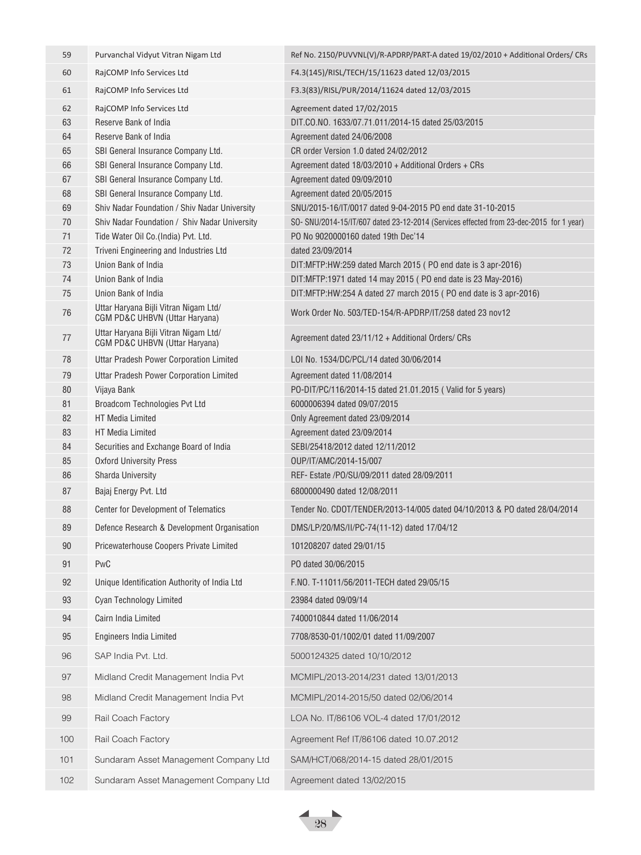| 59  | Purvanchal Vidyut Vitran Nigam Ltd                                      | Ref No. 2150/PUVVNL(V)/R-APDRP/PART-A dated 19/02/2010 + Additional Orders/ CRs         |
|-----|-------------------------------------------------------------------------|-----------------------------------------------------------------------------------------|
| 60  | RajCOMP Info Services Ltd                                               | F4.3(145)/RISL/TECH/15/11623 dated 12/03/2015                                           |
| 61  | RajCOMP Info Services Ltd                                               | F3.3(83)/RISL/PUR/2014/11624 dated 12/03/2015                                           |
| 62  | RajCOMP Info Services Ltd                                               | Agreement dated 17/02/2015                                                              |
| 63  | Reserve Bank of India                                                   | DIT.CO.NO. 1633/07.71.011/2014-15 dated 25/03/2015                                      |
| 64  | Reserve Bank of India                                                   | Agreement dated 24/06/2008                                                              |
| 65  | SBI General Insurance Company Ltd.                                      | CR order Version 1.0 dated 24/02/2012                                                   |
| 66  | SBI General Insurance Company Ltd.                                      | Agreement dated $18/03/2010 +$ Additional Orders + CRs                                  |
| 67  | SBI General Insurance Company Ltd.                                      | Agreement dated 09/09/2010                                                              |
| 68  | SBI General Insurance Company Ltd.                                      | Agreement dated 20/05/2015                                                              |
| 69  | Shiv Nadar Foundation / Shiv Nadar University                           | SNU/2015-16/IT/0017 dated 9-04-2015 PO end date 31-10-2015                              |
| 70  | Shiv Nadar Foundation / Shiv Nadar University                           | SO- SNU/2014-15/IT/607 dated 23-12-2014 (Services effected from 23-dec-2015 for 1 year) |
| 71  | Tide Water Oil Co. (India) Pvt. Ltd.                                    | PO No 9020000160 dated 19th Dec'14                                                      |
| 72  | Triveni Engineering and Industries Ltd                                  | dated 23/09/2014                                                                        |
| 73  | Union Bank of India                                                     | DIT:MFTP:HW:259 dated March 2015 (PO end date is 3 apr-2016)                            |
| 74  | Union Bank of India                                                     | DIT:MFTP:1971 dated 14 may 2015 (PO end date is 23 May-2016)                            |
| 75  | Union Bank of India                                                     | DIT:MFTP:HW:254 A dated 27 march 2015 (PO end date is 3 apr-2016)                       |
| 76  | Uttar Haryana Bijli Vitran Nigam Ltd/<br>CGM PD&C UHBVN (Uttar Haryana) | Work Order No. 503/TED-154/R-APDRP/IT/258 dated 23 nov12                                |
| 77  | Uttar Haryana Bijli Vitran Nigam Ltd/<br>CGM PD&C UHBVN (Uttar Haryana) | Agreement dated 23/11/12 + Additional Orders/ CRs                                       |
| 78  | <b>Uttar Pradesh Power Corporation Limited</b>                          | LOI No. 1534/DC/PCL/14 dated 30/06/2014                                                 |
| 79  | Uttar Pradesh Power Corporation Limited                                 | Agreement dated 11/08/2014                                                              |
| 80  | Vijaya Bank                                                             | PO-DIT/PC/116/2014-15 dated 21.01.2015 ( Valid for 5 years)                             |
| 81  | Broadcom Technologies Pvt Ltd                                           | 6000006394 dated 09/07/2015                                                             |
| 82  | <b>HT Media Limited</b>                                                 | Only Agreement dated 23/09/2014                                                         |
| 83  | HT Media Limited                                                        | Agreement dated 23/09/2014                                                              |
| 84  | Securities and Exchange Board of India                                  | SEBI/25418/2012 dated 12/11/2012                                                        |
| 85  | <b>Oxford University Press</b>                                          | OUP/IT/AMC/2014-15/007                                                                  |
| 86  | <b>Sharda University</b>                                                | REF- Estate /P0/SU/09/2011 dated 28/09/2011                                             |
| 87  | Bajaj Energy Pvt. Ltd                                                   | 6800000490 dated 12/08/2011                                                             |
| 88  | <b>Center for Development of Telematics</b>                             | Tender No. CDOT/TENDER/2013-14/005 dated 04/10/2013 & PO dated 28/04/2014               |
| 89  | Defence Research & Development Organisation                             | DMS/LP/20/MS/II/PC-74(11-12) dated 17/04/12                                             |
| 90  | Pricewaterhouse Coopers Private Limited                                 | 101208207 dated 29/01/15                                                                |
| 91  | PwC                                                                     | PO dated 30/06/2015                                                                     |
| 92  | Unique Identification Authority of India Ltd                            | F.NO. T-11011/56/2011-TECH dated 29/05/15                                               |
| 93  | Cyan Technology Limited                                                 | 23984 dated 09/09/14                                                                    |
| 94  | Cairn India Limited                                                     | 7400010844 dated 11/06/2014                                                             |
| 95  | <b>Engineers India Limited</b>                                          | 7708/8530-01/1002/01 dated 11/09/2007                                                   |
| 96  | SAP India Pvt. Ltd.                                                     | 5000124325 dated 10/10/2012                                                             |
| 97  | Midland Credit Management India Pvt                                     | MCMIPL/2013-2014/231 dated 13/01/2013                                                   |
| 98  | Midland Credit Management India Pvt                                     | MCMIPL/2014-2015/50 dated 02/06/2014                                                    |
| 99  | Rail Coach Factory                                                      | LOA No. IT/86106 VOL-4 dated 17/01/2012                                                 |
| 100 | Rail Coach Factory                                                      | Agreement Ref IT/86106 dated 10.07.2012                                                 |
| 101 | Sundaram Asset Management Company Ltd                                   | SAM/HCT/068/2014-15 dated 28/01/2015                                                    |
| 102 | Sundaram Asset Management Company Ltd                                   | Agreement dated 13/02/2015                                                              |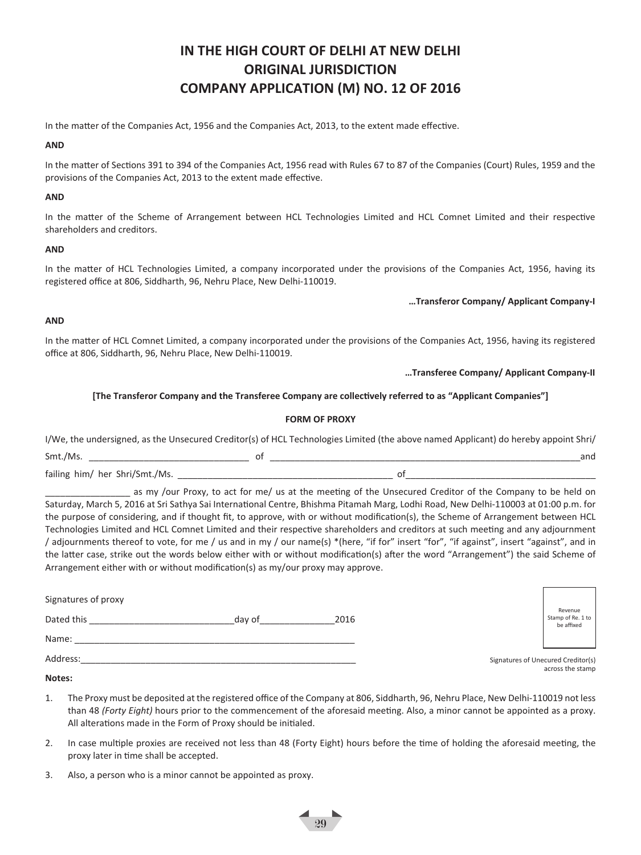## **IN THE HIGH COURT OF DELHI AT NEW DELHI ORIGINAL JURISDICTION COMPANY APPLICATION (M) NO. 12 OF 2016**

In the matter of the Companies Act, 1956 and the Companies Act, 2013, to the extent made effective.

#### **AND**

In the matter of Sections 391 to 394 of the Companies Act, 1956 read with Rules 67 to 87 of the Companies (Court) Rules, 1959 and the provisions of the Companies Act, 2013 to the extent made effective.

#### **AND**

In the matter of the Scheme of Arrangement between HCL Technologies Limited and HCL Comnet Limited and their respective shareholders and creditors.

#### **AND**

In the matter of HCL Technologies Limited, a company incorporated under the provisions of the Companies Act, 1956, having its registered office at 806, Siddharth, 96, Nehru Place, New Delhi-110019.

#### **…Transferor Company/ Applicant Company-I**

#### **AND**

In the matter of HCL Comnet Limited, a company incorporated under the provisions of the Companies Act, 1956, having its registered office at 806, Siddharth, 96, Nehru Place, New Delhi-110019.

**…Transferee Company/ Applicant Company-II**

#### **[The Transferor Company and the Transferee Company are collectively referred to as "Applicant Companies"]**

#### **FORM OF PROXY**

|                                | I/We, the undersigned, as the Unsecured Creditor(s) of HCL Technologies Limited (the above named Applicant) do hereby appoint Shri/ |     |
|--------------------------------|-------------------------------------------------------------------------------------------------------------------------------------|-----|
| Smt./Ms.                       |                                                                                                                                     | and |
| failing him/ her Shri/Smt./Ms. |                                                                                                                                     |     |

as my /our Proxy, to act for me/ us at the meeting of the Unsecured Creditor of the Company to be held on Saturday, March 5, 2016 at Sri Sathya Sai International Centre, Bhishma Pitamah Marg, Lodhi Road, New Delhi-110003 at 01:00 p.m. for the purpose of considering, and if thought fit, to approve, with or without modification(s), the Scheme of Arrangement between HCL Technologies Limited and HCL Comnet Limited and their respective shareholders and creditors at such meeting and any adjournment / adjournments thereof to vote, for me / us and in my / our name(s) \*(here, "if for" insert "for", "if against", insert "against", and in the latter case, strike out the words below either with or without modification(s) after the word "Arrangement") the said Scheme of Arrangement either with or without modification(s) as my/our proxy may approve.

| Signatures of proxy<br>Dated this | day of | 2016 | Revenue<br>Stamp of Re. 1 to<br>be affixed             |
|-----------------------------------|--------|------|--------------------------------------------------------|
| Name:                             |        |      |                                                        |
| Address:                          |        |      | Signatures of Unecured Creditor(s)<br>across the stamp |

#### **Notes:**

- 1. The Proxy must be deposited at the registered office of the Company at 806, Siddharth, 96, Nehru Place, New Delhi-110019 not less than 48 *(Forty Eight)* hours prior to the commencement of the aforesaid meeting. Also, a minor cannot be appointed as a proxy. All alterations made in the Form of Proxy should be initialed.
- 2. In case multiple proxies are received not less than 48 (Forty Eight) hours before the time of holding the aforesaid meeting, the proxy later in time shall be accepted.

 $\frac{1}{29}$ 

3. Also, a person who is a minor cannot be appointed as proxy.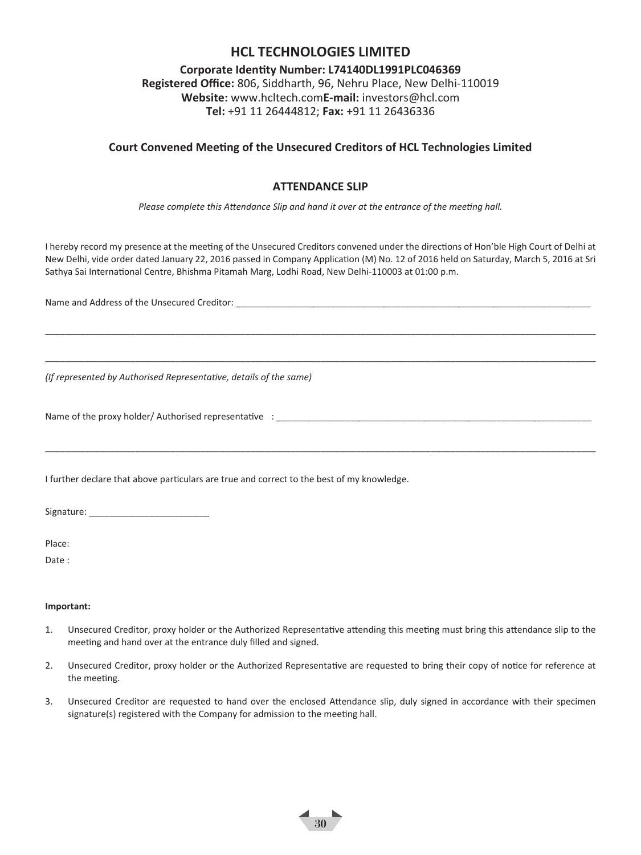## **HCL TECHNOLOGIES LIMITED**

**Corporate Identity Number: L74140DL1991PLC046369 Registered Office:** 806, Siddharth, 96, Nehru Place, New Delhi-110019 **Website:** www.hcltech.com**E-mail:** investors@hcl.com **Tel:** +91 11 26444812; **Fax:** +91 11 26436336

## **Court Convened Meeting of the Unsecured Creditors of HCL Technologies Limited**

## **ATTENDANCE SLIP**

*Please complete this Attendance Slip and hand it over at the entrance of the meeting hall.*

I hereby record my presence at the meeting of the Unsecured Creditors convened under the directions of Hon'ble High Court of Delhi at New Delhi, vide order dated January 22, 2016 passed in Company Application (M) No. 12 of 2016 held on Saturday, March 5, 2016 at Sri Sathya Sai International Centre, Bhishma Pitamah Marg, Lodhi Road, New Delhi-110003 at 01:00 p.m.

\_\_\_\_\_\_\_\_\_\_\_\_\_\_\_\_\_\_\_\_\_\_\_\_\_\_\_\_\_\_\_\_\_\_\_\_\_\_\_\_\_\_\_\_\_\_\_\_\_\_\_\_\_\_\_\_\_\_\_\_\_\_\_\_\_\_\_\_\_\_\_\_\_\_\_\_\_\_\_\_\_\_\_\_\_\_\_\_\_\_\_\_\_\_\_\_\_\_\_\_\_\_\_\_\_\_\_\_\_\_

\_\_\_\_\_\_\_\_\_\_\_\_\_\_\_\_\_\_\_\_\_\_\_\_\_\_\_\_\_\_\_\_\_\_\_\_\_\_\_\_\_\_\_\_\_\_\_\_\_\_\_\_\_\_\_\_\_\_\_\_\_\_\_\_\_\_\_\_\_\_\_\_\_\_\_\_\_\_\_\_\_\_\_\_\_\_\_\_\_\_\_\_\_\_\_\_\_\_\_\_\_\_\_\_\_\_\_\_\_\_

\_\_\_\_\_\_\_\_\_\_\_\_\_\_\_\_\_\_\_\_\_\_\_\_\_\_\_\_\_\_\_\_\_\_\_\_\_\_\_\_\_\_\_\_\_\_\_\_\_\_\_\_\_\_\_\_\_\_\_\_\_\_\_\_\_\_\_\_\_\_\_\_\_\_\_\_\_\_\_\_\_\_\_\_\_\_\_\_\_\_\_\_\_\_\_\_\_\_\_\_\_\_\_\_\_\_\_\_\_\_

Name and Address of the Unsecured Creditor: \_\_\_\_\_\_\_\_\_\_\_\_\_\_\_\_\_\_\_\_\_\_\_\_\_\_\_\_\_\_\_\_\_\_\_\_\_\_\_\_\_\_\_\_\_\_\_\_\_\_\_\_\_\_\_\_\_\_\_\_\_\_\_\_\_\_\_\_\_\_\_

*(If represented by Authorised Representative, details of the same)*

Name of the proxy holder/ Authorised representative :

I further declare that above particulars are true and correct to the best of my knowledge.

Signature:

Place:

Date :

#### **Important:**

- 1. Unsecured Creditor, proxy holder or the Authorized Representative attending this meeting must bring this attendance slip to the meeting and hand over at the entrance duly filled and signed.
- 2. Unsecured Creditor, proxy holder or the Authorized Representative are requested to bring their copy of notice for reference at the meeting.
- 3. Unsecured Creditor are requested to hand over the enclosed Attendance slip, duly signed in accordance with their specimen signature(s) registered with the Company for admission to the meeting hall.

<sup>30</sup>